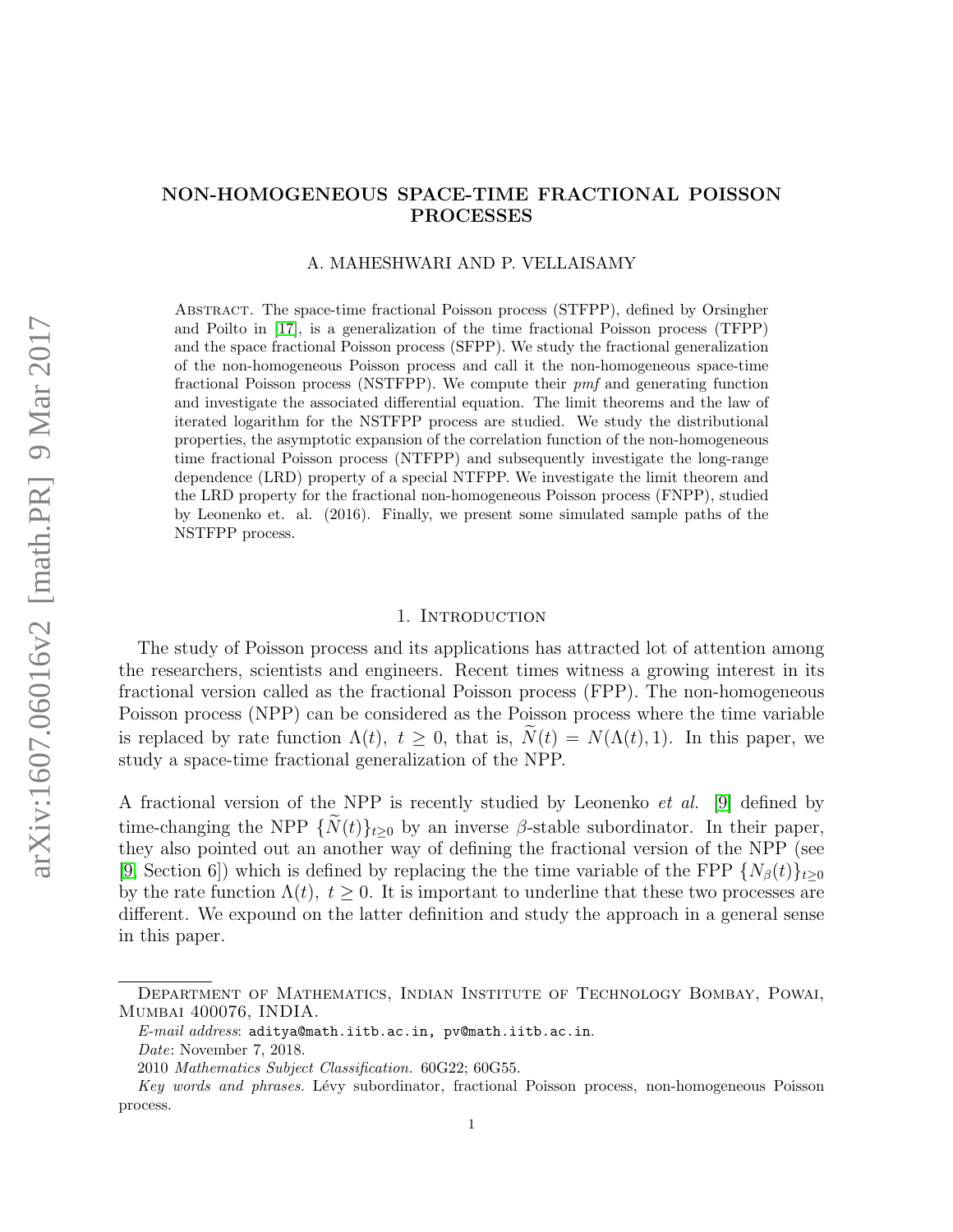# NON-HOMOGENEOUS SPACE-TIME FRACTIONAL POISSON PROCESSES

### A. MAHESHWARI AND P. VELLAISAMY

Abstract. The space-time fractional Poisson process (STFPP), defined by Orsingher and Poilto in [\[17\]](#page-15-0), is a generalization of the time fractional Poisson process (TFPP) and the space fractional Poisson process (SFPP). We study the fractional generalization of the non-homogeneous Poisson process and call it the non-homogeneous space-time fractional Poisson process (NSTFPP). We compute their pmf and generating function and investigate the associated differential equation. The limit theorems and the law of iterated logarithm for the NSTFPP process are studied. We study the distributional properties, the asymptotic expansion of the correlation function of the non-homogeneous time fractional Poisson process (NTFPP) and subsequently investigate the long-range dependence (LRD) property of a special NTFPP. We investigate the limit theorem and the LRD property for the fractional non-homogeneous Poisson process (FNPP), studied by Leonenko et. al. (2016). Finally, we present some simulated sample paths of the NSTFPP process.

### 1. Introduction

The study of Poisson process and its applications has attracted lot of attention among the researchers, scientists and engineers. Recent times witness a growing interest in its fractional version called as the fractional Poisson process (FPP). The non-homogeneous Poisson process (NPP) can be considered as the Poisson process where the time variable is replaced by rate function  $\Lambda(t)$ ,  $t > 0$ , that is,  $\tilde{N}(t) = N(\Lambda(t), 1)$ . In this paper, we study a space-time fractional generalization of the NPP.

A fractional version of the NPP is recently studied by Leonenko et al. [\[9\]](#page-14-0) defined by time-changing the NPP  $\{\widetilde{N}(t)\}_{t\geq0}$  by an inverse  $\beta$ -stable subordinator. In their paper, they also pointed out an another way of defining the fractional version of the NPP (see [\[9,](#page-14-0) Section 6]) which is defined by replacing the the time variable of the FPP  $\{N_\beta(t)\}_{t>0}$ by the rate function  $\Lambda(t)$ ,  $t \geq 0$ . It is important to underline that these two processes are different. We expound on the latter definition and study the approach in a general sense in this paper.

Department of Mathematics, Indian Institute of Technology Bombay, Powai, Mumbai 400076, INDIA.

E-mail address: aditya@math.iitb.ac.in, pv@math.iitb.ac.in.

Date: November 7, 2018.

<sup>2010</sup> Mathematics Subject Classification. 60G22; 60G55.

Key words and phrases. Lévy subordinator, fractional Poisson process, non-homogeneous Poisson process.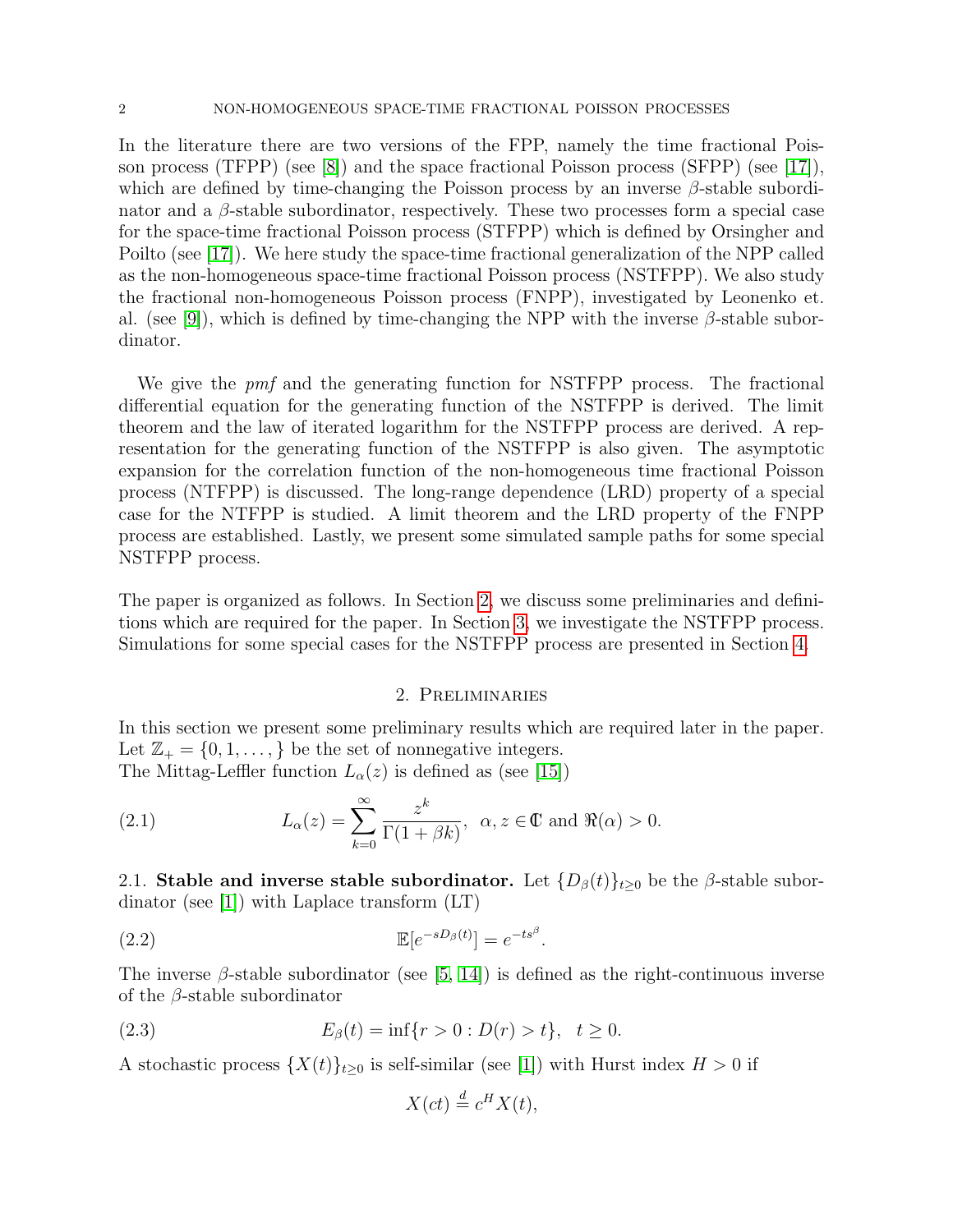In the literature there are two versions of the FPP, namely the time fractional Poisson process (TFPP) (see  $|8|$ ) and the space fractional Poisson process (SFPP) (see  $|17|$ ), which are defined by time-changing the Poisson process by an inverse  $\beta$ -stable subordinator and a  $\beta$ -stable subordinator, respectively. These two processes form a special case for the space-time fractional Poisson process (STFPP) which is defined by Orsingher and Poilto (see [\[17\]](#page-15-0)). We here study the space-time fractional generalization of the NPP called as the non-homogeneous space-time fractional Poisson process (NSTFPP). We also study the fractional non-homogeneous Poisson process (FNPP), investigated by Leonenko et. al. (see [\[9\]](#page-14-0)), which is defined by time-changing the NPP with the inverse  $\beta$ -stable subordinator.

We give the *pmf* and the generating function for NSTFPP process. The fractional differential equation for the generating function of the NSTFPP is derived. The limit theorem and the law of iterated logarithm for the NSTFPP process are derived. A representation for the generating function of the NSTFPP is also given. The asymptotic expansion for the correlation function of the non-homogeneous time fractional Poisson process (NTFPP) is discussed. The long-range dependence (LRD) property of a special case for the NTFPP is studied. A limit theorem and the LRD property of the FNPP process are established. Lastly, we present some simulated sample paths for some special NSTFPP process.

The paper is organized as follows. In Section [2,](#page-1-0) we discuss some preliminaries and definitions which are required for the paper. In Section [3,](#page-2-0) we investigate the NSTFPP process. Simulations for some special cases for the NSTFPP process are presented in Section [4.](#page-12-0)

### 2. Preliminaries

<span id="page-1-0"></span>In this section we present some preliminary results which are required later in the paper. Let  $\mathbb{Z}_+ = \{0, 1, \ldots, \}$  be the set of nonnegative integers. The Mittag-Leffler function  $L_{\alpha}(z)$  is defined as (see [\[15\]](#page-14-2))

(2.1) 
$$
L_{\alpha}(z) = \sum_{k=0}^{\infty} \frac{z^k}{\Gamma(1+\beta k)}, \ \alpha, z \in \mathbb{C} \text{ and } \Re(\alpha) > 0.
$$

2.1. Stable and inverse stable subordinator. Let  $\{D_\beta(t)\}_{t\geq0}$  be the  $\beta$ -stable subordinator (see [\[1\]](#page-14-3)) with Laplace transform (LT)

$$
\mathbb{E}[e^{-sD_\beta(t)}] = e^{-ts^\beta}.
$$

The inverse  $\beta$ -stable subordinator (see [\[5,](#page-14-4) [14\]](#page-14-5)) is defined as the right-continuous inverse of the  $\beta$ -stable subordinator

(2.3) 
$$
E_{\beta}(t) = \inf\{r > 0 : D(r) > t\}, \quad t \ge 0.
$$

A stochastic process  $\{X(t)\}_{t\geq 0}$  is self-similar (see [\[1\]](#page-14-3)) with Hurst index  $H > 0$  if

$$
X(ct) \stackrel{d}{=} c^H X(t),
$$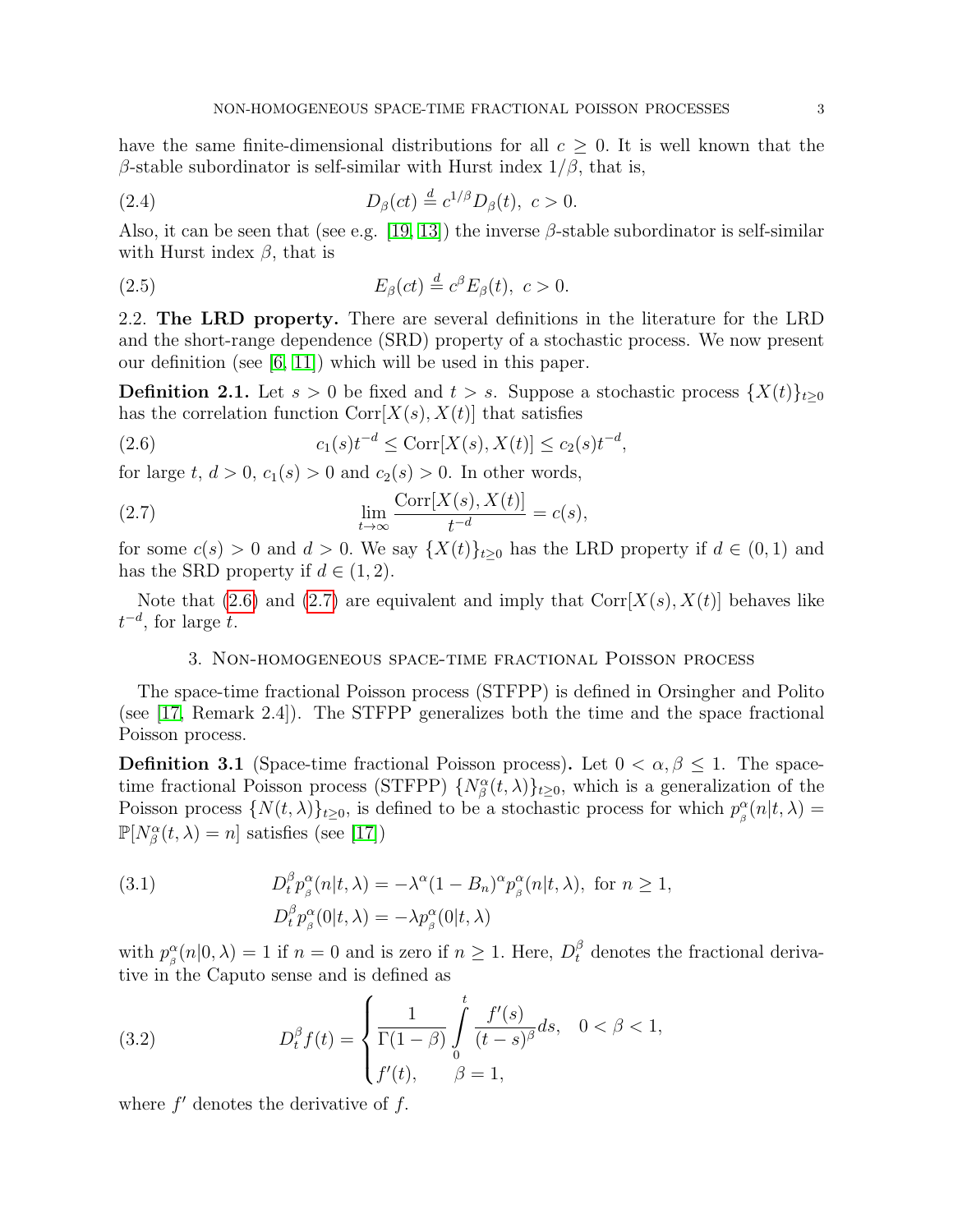have the same finite-dimensional distributions for all  $c \geq 0$ . It is well known that the β-stable subordinator is self-similar with Hurst index  $1/β$ , that is,

<span id="page-2-5"></span>(2.4) 
$$
D_{\beta}(ct) \stackrel{d}{=} c^{1/\beta} D_{\beta}(t), \ c > 0.
$$

Also, it can be seen that (see e.g. [\[19,](#page-15-1) [13\]](#page-14-6)) the inverse  $\beta$ -stable subordinator is self-similar with Hurst index  $\beta$ , that is

<span id="page-2-4"></span>(2.5) 
$$
E_{\beta}(ct) \stackrel{d}{=} c^{\beta} E_{\beta}(t), \ c > 0.
$$

2.2. The LRD property. There are several definitions in the literature for the LRD and the short-range dependence (SRD) property of a stochastic process. We now present our definition (see [\[6,](#page-14-7) [11\]](#page-14-8)) which will be used in this paper.

<span id="page-2-7"></span>**Definition 2.1.** Let  $s > 0$  be fixed and  $t > s$ . Suppose a stochastic process  $\{X(t)\}_{t\geq0}$ has the correlation function  $Corr[X(s), X(t)]$  that satisfies

<span id="page-2-1"></span>(2.6) 
$$
c_1(s)t^{-d} \le \text{Corr}[X(s), X(t)] \le c_2(s)t^{-d},
$$

for large t,  $d > 0$ ,  $c_1(s) > 0$  and  $c_2(s) > 0$ . In other words,

(2.7) 
$$
\lim_{t \to \infty} \frac{\text{Corr}[X(s), X(t)]}{t^{-d}} = c(s),
$$

for some  $c(s) > 0$  and  $d > 0$ . We say  $\{X(t)\}_{t\geq 0}$  has the LRD property if  $d \in (0,1)$  and has the SRD property if  $d \in (1, 2)$ .

Note that  $(2.6)$  and  $(2.7)$  are equivalent and imply that  $Corr[X(s), X(t)]$  behaves like  $t^{-d}$ , for large t.

# <span id="page-2-2"></span>3. Non-homogeneous space-time fractional Poisson process

<span id="page-2-0"></span>The space-time fractional Poisson process (STFPP) is defined in Orsingher and Polito (see [\[17,](#page-15-0) Remark 2.4]). The STFPP generalizes both the time and the space fractional Poisson process.

**Definition 3.1** (Space-time fractional Poisson process). Let  $0 < \alpha, \beta \leq 1$ . The spacetime fractional Poisson process (STFPP)  $\{N^{\alpha}_{\beta}(t,\lambda)\}_{t\geq0}$ , which is a generalization of the Poisson process  $\{N(t,\lambda)\}_{t\geq0}$ , is defined to be a stochastic process for which  $p_{\beta}^{\alpha}$  $\int_{\beta}^{\alpha} (n|t,\lambda) =$  $\mathbb{P}[N^{\alpha}_{\beta}(t,\lambda)=n]$  satisfies (see [\[17\]](#page-15-0))

<span id="page-2-3"></span>(3.1) 
$$
D_t^{\beta} p_{\beta}^{\alpha}(n|t,\lambda) = -\lambda^{\alpha} (1 - B_n)^{\alpha} p_{\beta}^{\alpha}(n|t,\lambda), \text{ for } n \ge 1,
$$

$$
D_t^{\beta} p_{\beta}^{\alpha}(0|t,\lambda) = -\lambda p_{\beta}^{\alpha}(0|t,\lambda)
$$

with  $p_a^{\alpha}$  $\beta_{\beta}^{\alpha}(n|0,\lambda) = 1$  if  $n = 0$  and is zero if  $n \geq 1$ . Here,  $D_t^{\beta}$  denotes the fractional derivative in the Caputo sense and is defined as

<span id="page-2-6"></span>(3.2) 
$$
D_t^{\beta} f(t) = \begin{cases} \frac{1}{\Gamma(1-\beta)} \int_0^t \frac{f'(s)}{(t-s)^{\beta}} ds, & 0 < \beta < 1, \\ f'(t), & \beta = 1, \end{cases}
$$

where  $f'$  denotes the derivative of  $f$ .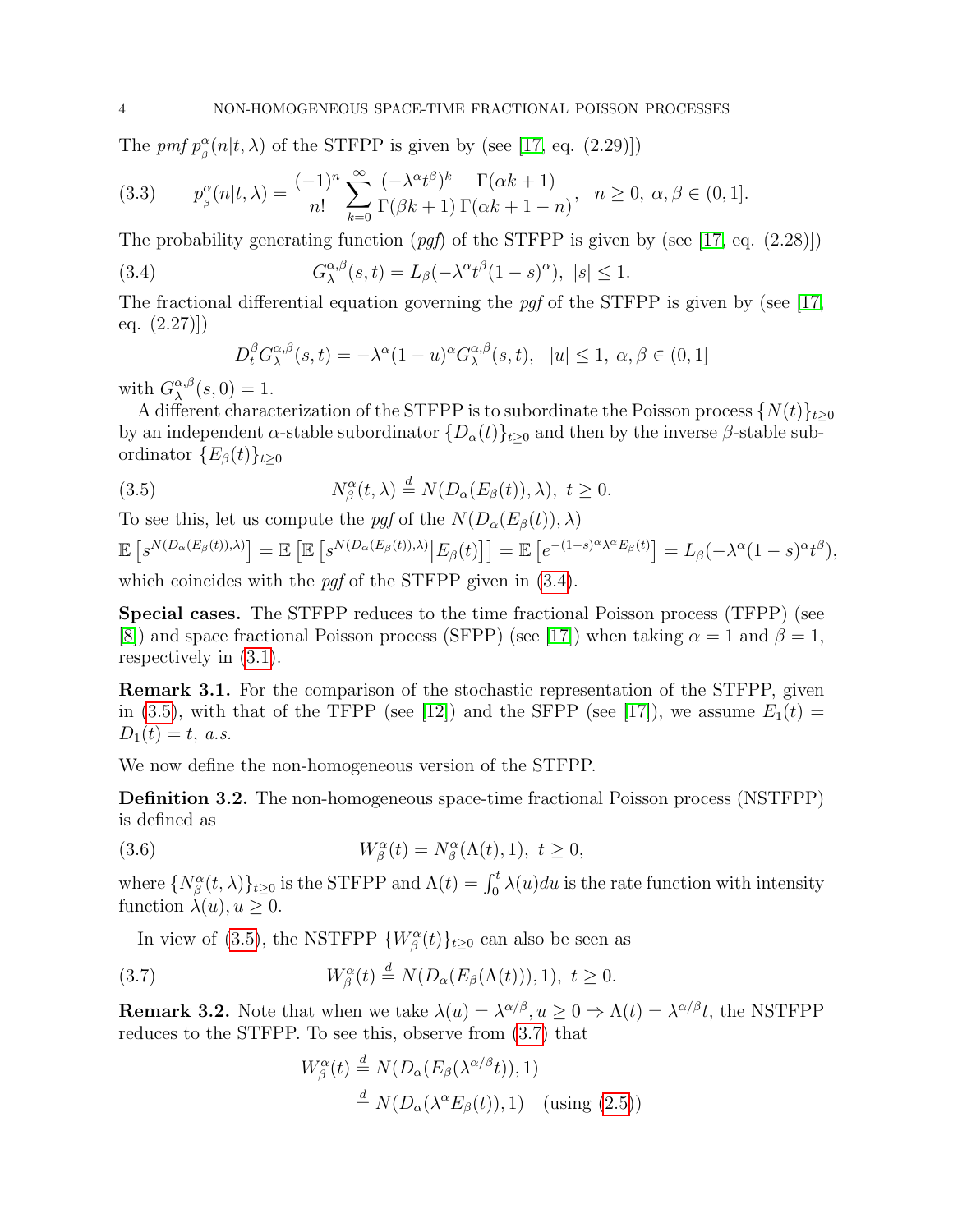The pmf  $p_a^{\alpha}$  $\frac{\alpha}{\beta}(n|t,\lambda)$  of the STFPP is given by (see [\[17,](#page-15-0) eq. (2.29)])

<span id="page-3-3"></span>(3.3) 
$$
p_{\beta}^{\alpha}(n|t,\lambda) = \frac{(-1)^n}{n!} \sum_{k=0}^{\infty} \frac{(-\lambda^{\alpha}t^{\beta})^k}{\Gamma(\beta k+1)} \frac{\Gamma(\alpha k+1)}{\Gamma(\alpha k+1-n)}, \quad n \ge 0, \ \alpha, \beta \in (0,1].
$$

The probability generating function  $(pqf)$  of the STFPP is given by (see [\[17,](#page-15-0) eq. (2.28)])

<span id="page-3-0"></span>(3.4) 
$$
G_{\lambda}^{\alpha,\beta}(s,t) = L_{\beta}(-\lambda^{\alpha}t^{\beta}(1-s)^{\alpha}), \ |s| \leq 1.
$$

The fractional differential equation governing the pgf of the STFPP is given by (see [\[17,](#page-15-0) eq.  $(2.27)$ ]

<span id="page-3-1"></span>
$$
D_t^{\beta} G_{\lambda}^{\alpha,\beta}(s,t) = -\lambda^{\alpha} (1-u)^{\alpha} G_{\lambda}^{\alpha,\beta}(s,t), \ |u| \le 1, \ \alpha, \beta \in (0,1]
$$

with  $G_{\lambda}^{\alpha,\beta}$  $_{\lambda}^{\alpha,\beta}(s,0)=1.$ 

A different characterization of the STFPP is to subordinate the Poisson process  $\{N(t)\}_{t\geq0}$ by an independent  $\alpha$ -stable subordinator  $\{D_{\alpha}(t)\}_{t\geq 0}$  and then by the inverse  $\beta$ -stable subordinator  $\{E_\beta(t)\}_{t\geq 0}$ 

(3.5) 
$$
N_{\beta}^{\alpha}(t,\lambda) \stackrel{d}{=} N(D_{\alpha}(E_{\beta}(t)),\lambda), \ t \geq 0.
$$

To see this, let us compute the pgf of the  $N(D_\alpha(E_\beta(t)), \lambda)$ 

$$
\mathbb{E}\left[s^{N(D_{\alpha}(E_{\beta}(t)),\lambda)}\right] = \mathbb{E}\left[\mathbb{E}\left[s^{N(D_{\alpha}(E_{\beta}(t)),\lambda)}\big|E_{\beta}(t)\right]\right] = \mathbb{E}\left[e^{-(1-s)^{\alpha}\lambda^{\alpha}E_{\beta}(t)}\right] = L_{\beta}(-\lambda^{\alpha}(1-s)^{\alpha}t^{\beta}),
$$

which coincides with the *pqf* of the STFPP given in  $(3.4)$ .

Special cases. The STFPP reduces to the time fractional Poisson process (TFPP) (see [\[8\]](#page-14-1)) and space fractional Poisson process (SFPP) (see [\[17\]](#page-15-0)) when taking  $\alpha = 1$  and  $\beta = 1$ , respectively in [\(3.1\)](#page-2-3).

Remark 3.1. For the comparison of the stochastic representation of the STFPP, given in [\(3.5\)](#page-3-1), with that of the TFPP (see [\[12\]](#page-14-9)) and the SFPP (see [\[17\]](#page-15-0)), we assume  $E_1(t) =$  $D_1(t) = t$ , a.s.

We now define the non-homogeneous version of the STFPP.

Definition 3.2. The non-homogeneous space-time fractional Poisson process (NSTFPP) is defined as

(3.6) 
$$
W^{\alpha}_{\beta}(t) = N^{\alpha}_{\beta}(\Lambda(t), 1), \ t \ge 0,
$$

where  $\{N_\beta^\alpha(t,\lambda)\}_{t\geq 0}$  is the STFPP and  $\Lambda(t) = \int_0^t \lambda(u)du$  is the rate function with intensity function  $\lambda(u)$ ,  $u \geq 0$ .

In view of [\(3.5\)](#page-3-1), the NSTFPP  $\{W^{\alpha}_{\beta}(t)\}_{t\geq 0}$  can also be seen as

(3.7) 
$$
W^{\alpha}_{\beta}(t) \stackrel{d}{=} N(D_{\alpha}(E_{\beta}(\Lambda(t))), 1), \ t \geq 0.
$$

**Remark 3.2.** Note that when we take  $\lambda(u) = \lambda^{\alpha/\beta}, u \ge 0 \Rightarrow \Lambda(t) = \lambda^{\alpha/\beta}t$ , the NSTFPP reduces to the STFPP. To see this, observe from [\(3.7\)](#page-3-2) that

<span id="page-3-2"></span>
$$
W^{\alpha}_{\beta}(t) \stackrel{d}{=} N(D_{\alpha}(E_{\beta}(\lambda^{\alpha/\beta}t)), 1)
$$
  

$$
\stackrel{d}{=} N(D_{\alpha}(\lambda^{\alpha}E_{\beta}(t)), 1) \quad \text{(using (2.5))}
$$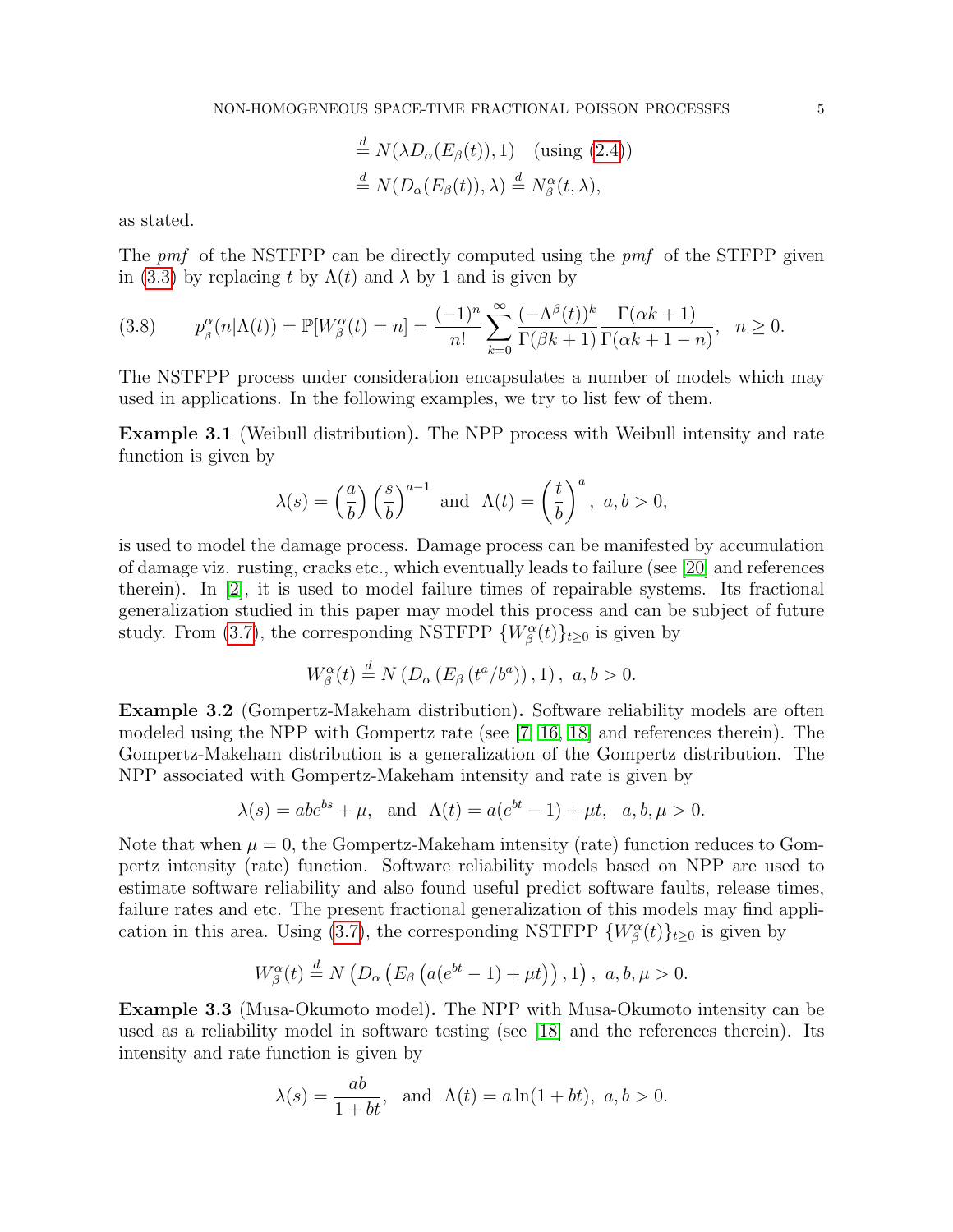$$
\stackrel{d}{=} N(\lambda D_{\alpha}(E_{\beta}(t)), 1) \quad \text{(using (2.4))}
$$
  

$$
\stackrel{d}{=} N(D_{\alpha}(E_{\beta}(t)), \lambda) \stackrel{d}{=} N_{\beta}^{\alpha}(t, \lambda),
$$

as stated.

The pmf of the NSTFPP can be directly computed using the pmf of the STFPP given in [\(3.3\)](#page-3-3) by replacing t by  $\Lambda(t)$  and  $\lambda$  by 1 and is given by

$$
(3.8) \t p\beta\alpha(n|\Lambda(t)) = \mathbb{P}[W\beta\alpha(t) = n] = \frac{(-1)^n}{n!} \sum_{k=0}^{\infty} \frac{(-\Lambda^{\beta}(t))^k}{\Gamma(\beta k + 1)} \frac{\Gamma(\alpha k + 1)}{\Gamma(\alpha k + 1 - n)}, \quad n \ge 0.
$$

The NSTFPP process under consideration encapsulates a number of models which may used in applications. In the following examples, we try to list few of them.

Example 3.1 (Weibull distribution). The NPP process with Weibull intensity and rate function is given by

$$
\lambda(s) = \left(\frac{a}{b}\right) \left(\frac{s}{b}\right)^{a-1}
$$
 and  $\Lambda(t) = \left(\frac{t}{b}\right)^a$ ,  $a, b > 0$ ,

is used to model the damage process. Damage process can be manifested by accumulation of damage viz. rusting, cracks etc., which eventually leads to failure (see [\[20\]](#page-15-2) and references therein). In [\[2\]](#page-14-10), it is used to model failure times of repairable systems. Its fractional generalization studied in this paper may model this process and can be subject of future study. From [\(3.7\)](#page-3-2), the corresponding NSTFPP  $\{W^{\alpha}_{\beta}(t)\}_{t\geq 0}$  is given by

$$
W^{\alpha}_{\beta}(t) \stackrel{d}{=} N\left(D_{\alpha}\left(E_{\beta}\left(t^{a}/b^{a}\right)\right), 1\right), a, b > 0.
$$

Example 3.2 (Gompertz-Makeham distribution). Software reliability models are often modeled using the NPP with Gompertz rate (see [\[7,](#page-14-11) [16,](#page-15-3) [18\]](#page-15-4) and references therein). The Gompertz-Makeham distribution is a generalization of the Gompertz distribution. The NPP associated with Gompertz-Makeham intensity and rate is given by

$$
\lambda(s) = abe^{bs} + \mu, \text{ and } \Lambda(t) = a(e^{bt} - 1) + \mu t, a, b, \mu > 0.
$$

Note that when  $\mu = 0$ , the Gompertz-Makeham intensity (rate) function reduces to Gompertz intensity (rate) function. Software reliability models based on NPP are used to estimate software reliability and also found useful predict software faults, release times, failure rates and etc. The present fractional generalization of this models may find appli-cation in this area. Using [\(3.7\)](#page-3-2), the corresponding NSTFPP  $\{W^{\alpha}_{\beta}(t)\}_{t\geq 0}$  is given by

$$
W^{\alpha}_{\beta}(t) \stackrel{d}{=} N\left(D_{\alpha}\left(E_{\beta}\left(a(e^{bt}-1)+\mu t\right)\right),1\right), a, b, \mu > 0.
$$

Example 3.3 (Musa-Okumoto model). The NPP with Musa-Okumoto intensity can be used as a reliability model in software testing (see [\[18\]](#page-15-4) and the references therein). Its intensity and rate function is given by

$$
\lambda(s) = \frac{ab}{1+bt}
$$
, and  $\Lambda(t) = a \ln(1+bt)$ ,  $a, b > 0$ .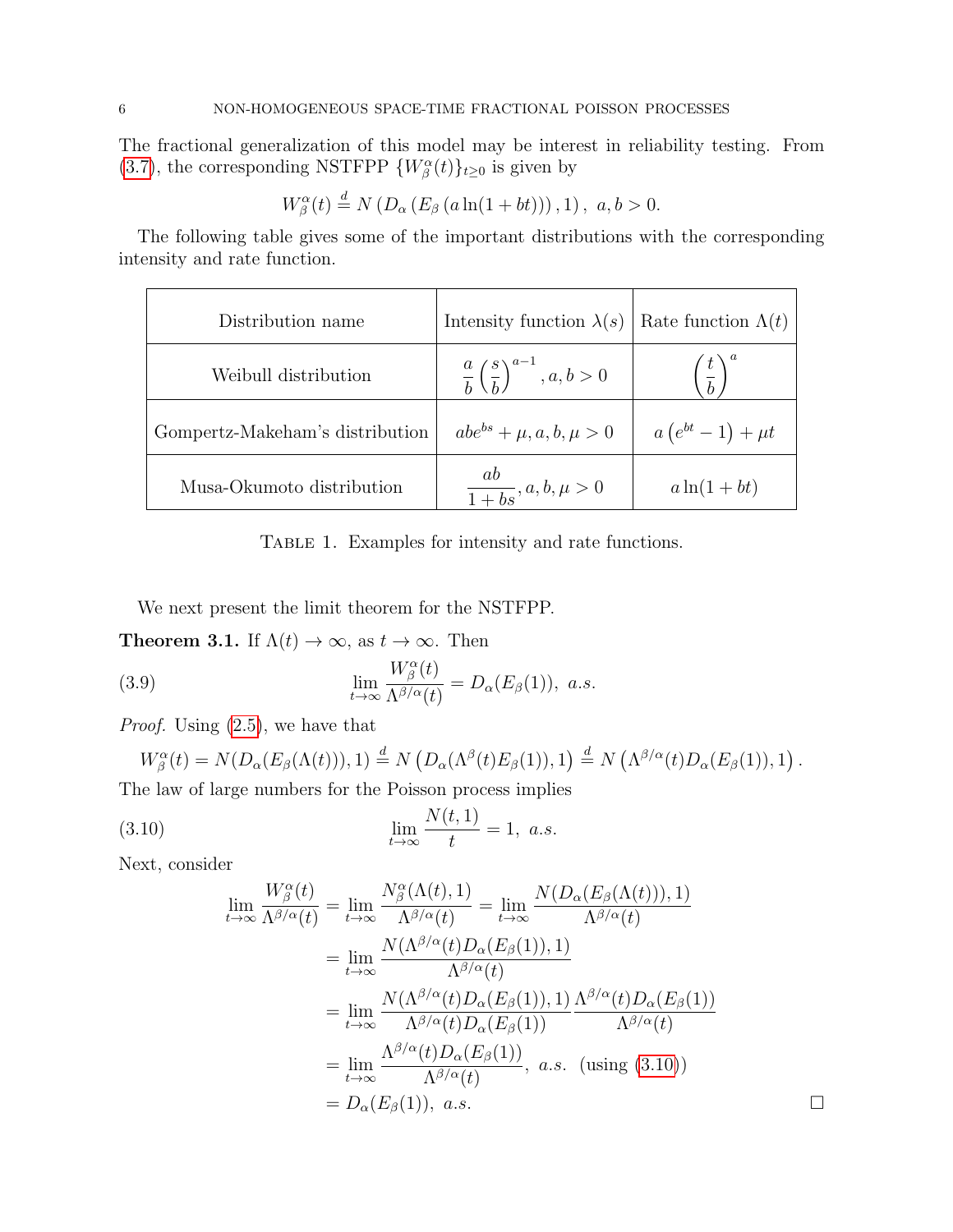The fractional generalization of this model may be interest in reliability testing. From [\(3.7\)](#page-3-2), the corresponding NSTFPP  $\{W^{\alpha}_{\beta}(t)\}_{t\geq 0}$  is given by

$$
W_{\beta}^{\alpha}(t) \stackrel{d}{=} N(D_{\alpha}(E_{\beta}(a \ln(1+bt))), 1), a, b > 0.
$$

The following table gives some of the important distributions with the corresponding intensity and rate function.

<span id="page-5-1"></span>

| Distribution name               | Intensity function $\lambda(s)$                        | Rate function $\Lambda(t)$ |
|---------------------------------|--------------------------------------------------------|----------------------------|
| Weibull distribution            | $\frac{a}{b} \left(\frac{s}{b}\right)^{a-1}, a, b > 0$ | $\left(\frac{t}{b}\right)$ |
| Gompertz-Makeham's distribution | $abe^{bs} + \mu, a, b, \mu > 0$                        | $a(e^{bt}-1)+\mu t$        |
| Musa-Okumoto distribution       | $\frac{ab}{1+bs}, a, b, \mu > 0$                       | $a\ln(1+bt)$               |

TABLE 1. Examples for intensity and rate functions.

We next present the limit theorem for the NSTFPP.

**Theorem 3.1.** If  $\Lambda(t) \to \infty$ , as  $t \to \infty$ . Then

(3.9) 
$$
\lim_{t \to \infty} \frac{W^{\alpha}_{\beta}(t)}{\Lambda^{\beta/\alpha}(t)} = D_{\alpha}(E_{\beta}(1)), \ a.s.
$$

Proof. Using [\(2.5\)](#page-2-4), we have that

$$
W^{\alpha}_{\beta}(t) = N(D_{\alpha}(E_{\beta}(\Lambda(t))), 1) \stackrel{d}{=} N(D_{\alpha}(\Lambda^{\beta}(t)E_{\beta}(1)), 1) \stackrel{d}{=} N(\Lambda^{\beta/\alpha}(t)D_{\alpha}(E_{\beta}(1)), 1).
$$

The law of large numbers for the Poisson process implies

(3.10) 
$$
\lim_{t \to \infty} \frac{N(t, 1)}{t} = 1, a.s.
$$

Next, consider

<span id="page-5-0"></span>
$$
\lim_{t \to \infty} \frac{W_{\beta}^{\alpha}(t)}{\Lambda^{\beta/\alpha}(t)} = \lim_{t \to \infty} \frac{N_{\beta}^{\alpha}(\Lambda(t), 1)}{\Lambda^{\beta/\alpha}(t)} = \lim_{t \to \infty} \frac{N(D_{\alpha}(E_{\beta}(\Lambda(t))), 1)}{\Lambda^{\beta/\alpha}(t)}
$$
\n
$$
= \lim_{t \to \infty} \frac{N(\Lambda^{\beta/\alpha}(t)D_{\alpha}(E_{\beta}(1)), 1)}{\Lambda^{\beta/\alpha}(t)}
$$
\n
$$
= \lim_{t \to \infty} \frac{N(\Lambda^{\beta/\alpha}(t)D_{\alpha}(E_{\beta}(1)), 1)}{\Lambda^{\beta/\alpha}(t)D_{\alpha}(E_{\beta}(1))} \frac{\Lambda^{\beta/\alpha}(t)D_{\alpha}(E_{\beta}(1))}{\Lambda^{\beta/\alpha}(t)}
$$
\n
$$
= \lim_{t \to \infty} \frac{\Lambda^{\beta/\alpha}(t)D_{\alpha}(E_{\beta}(1))}{\Lambda^{\beta/\alpha}(t)}, \ a.s. \ \ (using \ (3.10))
$$
\n
$$
= D_{\alpha}(E_{\beta}(1)), \ a.s. \ \ \Box
$$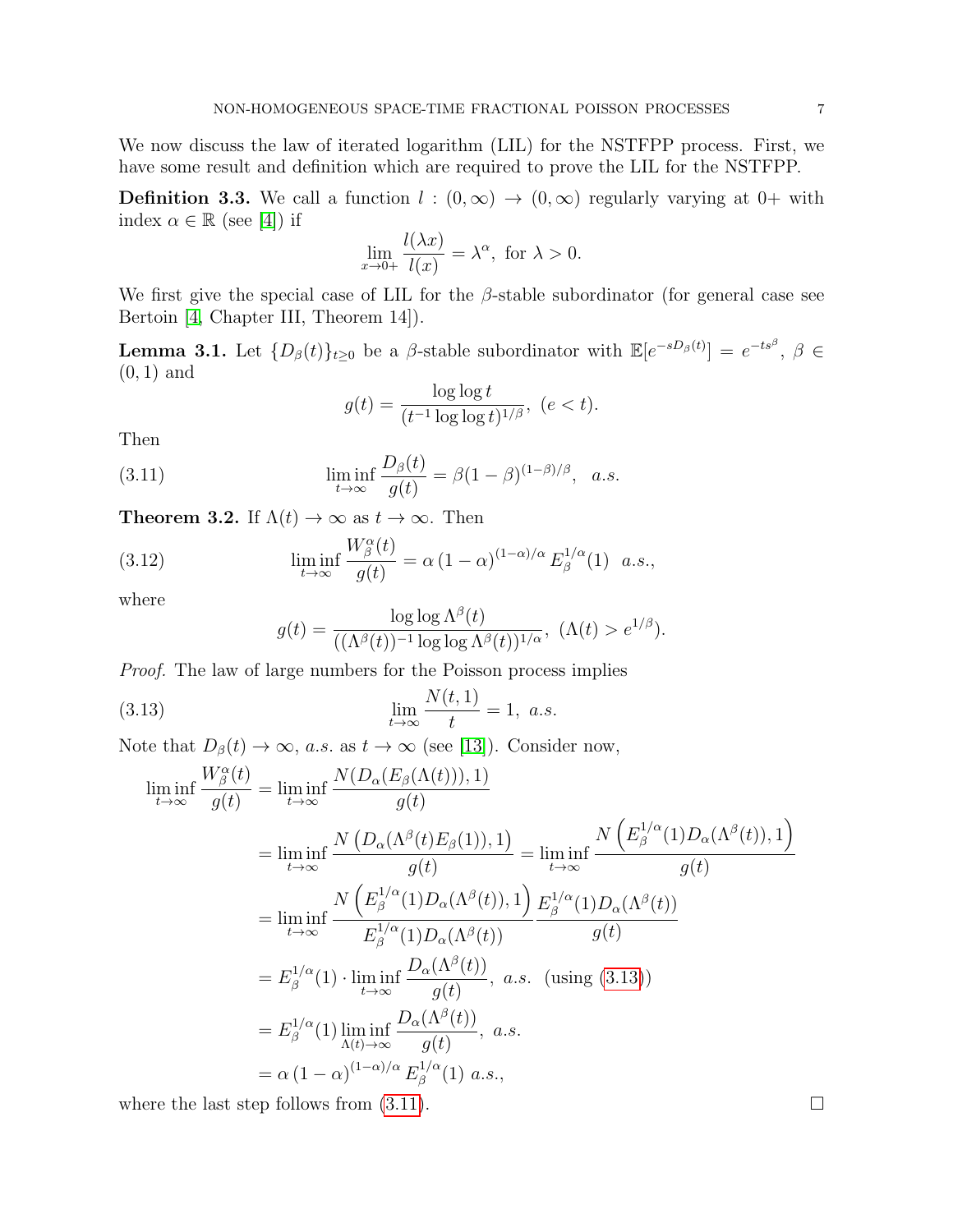We now discuss the law of iterated logarithm (LIL) for the NSTFPP process. First, we have some result and definition which are required to prove the LIL for the NSTFPP.

**Definition 3.3.** We call a function  $l : (0, \infty) \to (0, \infty)$  regularly varying at 0+ with index  $\alpha \in \mathbb{R}$  (see [\[4\]](#page-14-12)) if

$$
\lim_{x \to 0+} \frac{l(\lambda x)}{l(x)} = \lambda^{\alpha}, \text{ for } \lambda > 0.
$$

We first give the special case of LIL for the  $\beta$ -stable subordinator (for general case see Bertoin [\[4,](#page-14-12) Chapter III, Theorem 14]).

**Lemma 3.1.** Let  $\{D_\beta(t)\}_{t\geq 0}$  be a  $\beta$ -stable subordinator with  $\mathbb{E}[e^{-sD_\beta(t)}] = e^{-ts^\beta}, \ \beta \in$  $(0, 1)$  and

<span id="page-6-1"></span>
$$
g(t) = \frac{\log \log t}{(t^{-1} \log \log t)^{1/\beta}}, \ (e < t).
$$

Then

(3.11) 
$$
\liminf_{t \to \infty} \frac{D_{\beta}(t)}{g(t)} = \beta (1 - \beta)^{(1 - \beta)/\beta}, \quad a.s.
$$

**Theorem 3.2.** If  $\Lambda(t) \to \infty$  as  $t \to \infty$ . Then

(3.12) 
$$
\liminf_{t \to \infty} \frac{W^{\alpha}_{\beta}(t)}{g(t)} = \alpha (1 - \alpha)^{(1 - \alpha)/\alpha} E^{1/\alpha}_{\beta}(1) \quad a.s.,
$$

where

<span id="page-6-0"></span>
$$
g(t) = \frac{\log \log \Lambda^{\beta}(t)}{((\Lambda^{\beta}(t))^{-1} \log \log \Lambda^{\beta}(t))^{1/\alpha}}, \ (\Lambda(t) > e^{1/\beta}).
$$

Proof. The law of large numbers for the Poisson process implies

(3.13) 
$$
\lim_{t \to \infty} \frac{N(t, 1)}{t} = 1, a.s.
$$

Note that  $D_{\beta}(t) \to \infty$ , a.s. as  $t \to \infty$  (see [\[13\]](#page-14-6)). Consider now,

$$
\liminf_{t \to \infty} \frac{W_{\beta}^{\alpha}(t)}{g(t)} = \liminf_{t \to \infty} \frac{N(D_{\alpha}(E_{\beta}(\Lambda(t))), 1)}{g(t)}
$$
\n
$$
= \liminf_{t \to \infty} \frac{N(D_{\alpha}(\Lambda^{\beta}(t)E_{\beta}(1)), 1)}{g(t)} = \liminf_{t \to \infty} \frac{N(E_{\beta}^{1/\alpha}(1)D_{\alpha}(\Lambda^{\beta}(t)), 1)}{g(t)}
$$
\n
$$
= \liminf_{t \to \infty} \frac{N(E_{\beta}^{1/\alpha}(1)D_{\alpha}(\Lambda^{\beta}(t)), 1)}{E_{\beta}^{1/\alpha}(1)D_{\alpha}(\Lambda^{\beta}(t))} \frac{E_{\beta}^{1/\alpha}(1)D_{\alpha}(\Lambda^{\beta}(t))}{g(t)}
$$
\n
$$
= E_{\beta}^{1/\alpha}(1) \cdot \liminf_{t \to \infty} \frac{D_{\alpha}(\Lambda^{\beta}(t))}{g(t)}, a.s. \text{ (using (3.13))}
$$
\n
$$
= E_{\beta}^{1/\alpha}(1) \liminf_{\Lambda(t) \to \infty} \frac{D_{\alpha}(\Lambda^{\beta}(t))}{g(t)}, a.s. \quad (u \leq u \leq t) \leq \frac{1}{\lambda} \int_{\Lambda(t) \to \infty} \frac{D_{\alpha}(\Lambda^{\beta}(t))}{g(t)} d\Lambda(s).
$$
\n
$$
= \alpha (1 - \alpha)^{(1 - \alpha)/\alpha} E_{\beta}^{1/\alpha}(1) a.s.,
$$

where the last step follows from  $(3.11)$ .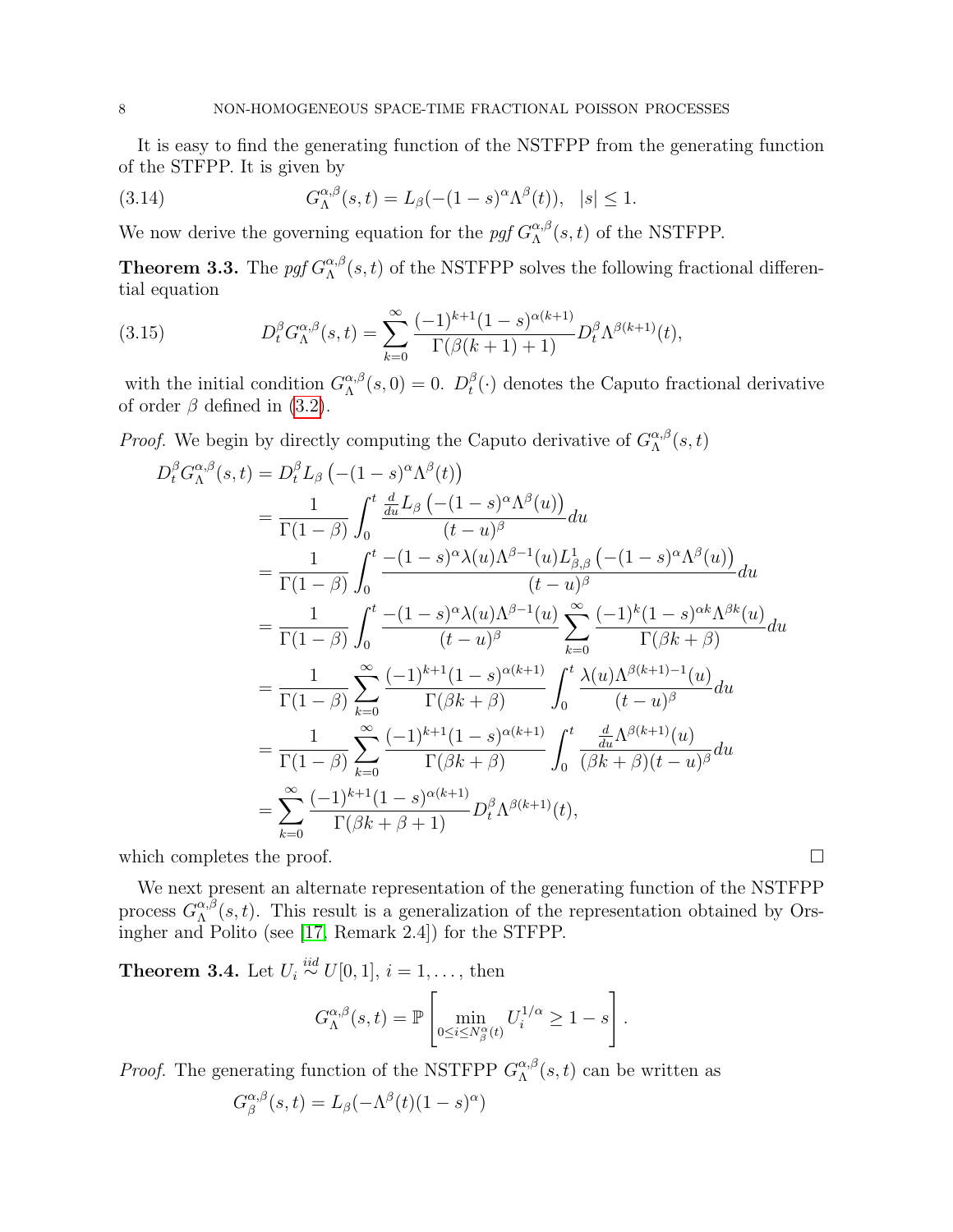It is easy to find the generating function of the NSTFPP from the generating function of the STFPP. It is given by

(3.14) 
$$
G_{\Lambda}^{\alpha,\beta}(s,t) = L_{\beta}(-(1-s)^{\alpha}\Lambda^{\beta}(t)), \quad |s| \leq 1.
$$

We now derive the governing equation for the pgf  $G_{\Lambda}^{\alpha,\beta}$  $\Lambda^{\alpha,\beta}(s,t)$  of the NSTFPP.

**Theorem 3.3.** The pgf  $G_{\Lambda}^{\alpha,\beta}$  $\Lambda^{\alpha,\beta}(s,t)$  of the NSTFPP solves the following fractional differential equation

(3.15) 
$$
D_t^{\beta} G_{\Lambda}^{\alpha,\beta}(s,t) = \sum_{k=0}^{\infty} \frac{(-1)^{k+1} (1-s)^{\alpha(k+1)}}{\Gamma(\beta(k+1)+1)} D_t^{\beta} \Lambda^{\beta(k+1)}(t),
$$

with the initial condition  $G_{\Lambda}^{\alpha,\beta}$  $\alpha^{\alpha,\beta}_{\Lambda}(s,0) = 0.$   $D_t^{\beta}$  $_t^{\beta}(\cdot)$  denotes the Caputo fractional derivative of order  $\beta$  defined in [\(3.2\)](#page-2-6).

*Proof.* We begin by directly computing the Caputo derivative of  $G_{\Lambda}^{\alpha,\beta}$  $\Lambda^{\alpha,\beta}(s,t)$ 

$$
D_t^{\beta} G_{\Lambda}^{\alpha,\beta}(s,t) = D_t^{\beta} L_{\beta} \left( -(1-s)^{\alpha} \Lambda^{\beta}(t) \right)
$$
  
\n
$$
= \frac{1}{\Gamma(1-\beta)} \int_0^t \frac{d}{du} L_{\beta} \left( -(1-s)^{\alpha} \Lambda^{\beta}(u) \right) du
$$
  
\n
$$
= \frac{1}{\Gamma(1-\beta)} \int_0^t \frac{- (1-s)^{\alpha} \lambda(u) \Lambda^{\beta-1}(u) L_{\beta,\beta}^1 \left( -(1-s)^{\alpha} \Lambda^{\beta}(u) \right)}{(t-u)^{\beta}} du
$$
  
\n
$$
= \frac{1}{\Gamma(1-\beta)} \int_0^t \frac{- (1-s)^{\alpha} \lambda(u) \Lambda^{\beta-1}(u)}{(t-u)^{\beta}} \sum_{k=0}^{\infty} \frac{(-1)^k (1-s)^{\alpha k} \Lambda^{\beta k}(u)}{\Gamma(\beta k+\beta)} du
$$
  
\n
$$
= \frac{1}{\Gamma(1-\beta)} \sum_{k=0}^{\infty} \frac{(-1)^{k+1} (1-s)^{\alpha(k+1)}}{\Gamma(\beta k+\beta)} \int_0^t \frac{\lambda(u) \Lambda^{\beta(k+1)-1}(u)}{(t-u)^{\beta}} du
$$
  
\n
$$
= \frac{1}{\Gamma(1-\beta)} \sum_{k=0}^{\infty} \frac{(-1)^{k+1} (1-s)^{\alpha(k+1)}}{\Gamma(\beta k+\beta)} \int_0^t \frac{\frac{d}{du} \Lambda^{\beta(k+1)}(u)}{(\beta k+\beta)(t-u)^{\beta}} du
$$
  
\n
$$
= \sum_{k=0}^{\infty} \frac{(-1)^{k+1} (1-s)^{\alpha(k+1)}}{\Gamma(\beta k+\beta+1)} D_t^{\beta} \Lambda^{\beta(k+1)}(t),
$$

which completes the proof.  $\Box$ 

We next present an alternate representation of the generating function of the NSTFPP process  $G_\Lambda^{\alpha,\beta}$  $\alpha_{\Lambda}^{\alpha,\beta}(s,t)$ . This result is a generalization of the representation obtained by Orsingher and Polito (see [\[17,](#page-15-0) Remark 2.4]) for the STFPP.

**Theorem 3.4.** Let  $U_i \stackrel{iid}{\sim} U[0,1], i = 1, \ldots$ , then

$$
G_{\Lambda}^{\alpha,\beta}(s,t) = \mathbb{P}\left[\min_{0 \le i \le N_{\beta}^{\alpha}(t)} U_i^{1/\alpha} \ge 1 - s\right].
$$

*Proof.* The generating function of the NSTFPP  $G^{\alpha,\beta}_{\Lambda}$  $\alpha^{\alpha,\beta}_\Lambda(s,t)$  can be written as

$$
G^{\alpha,\beta}_{\beta}(s,t) = L_{\beta}(-\Lambda^{\beta}(t)(1-s)^{\alpha})
$$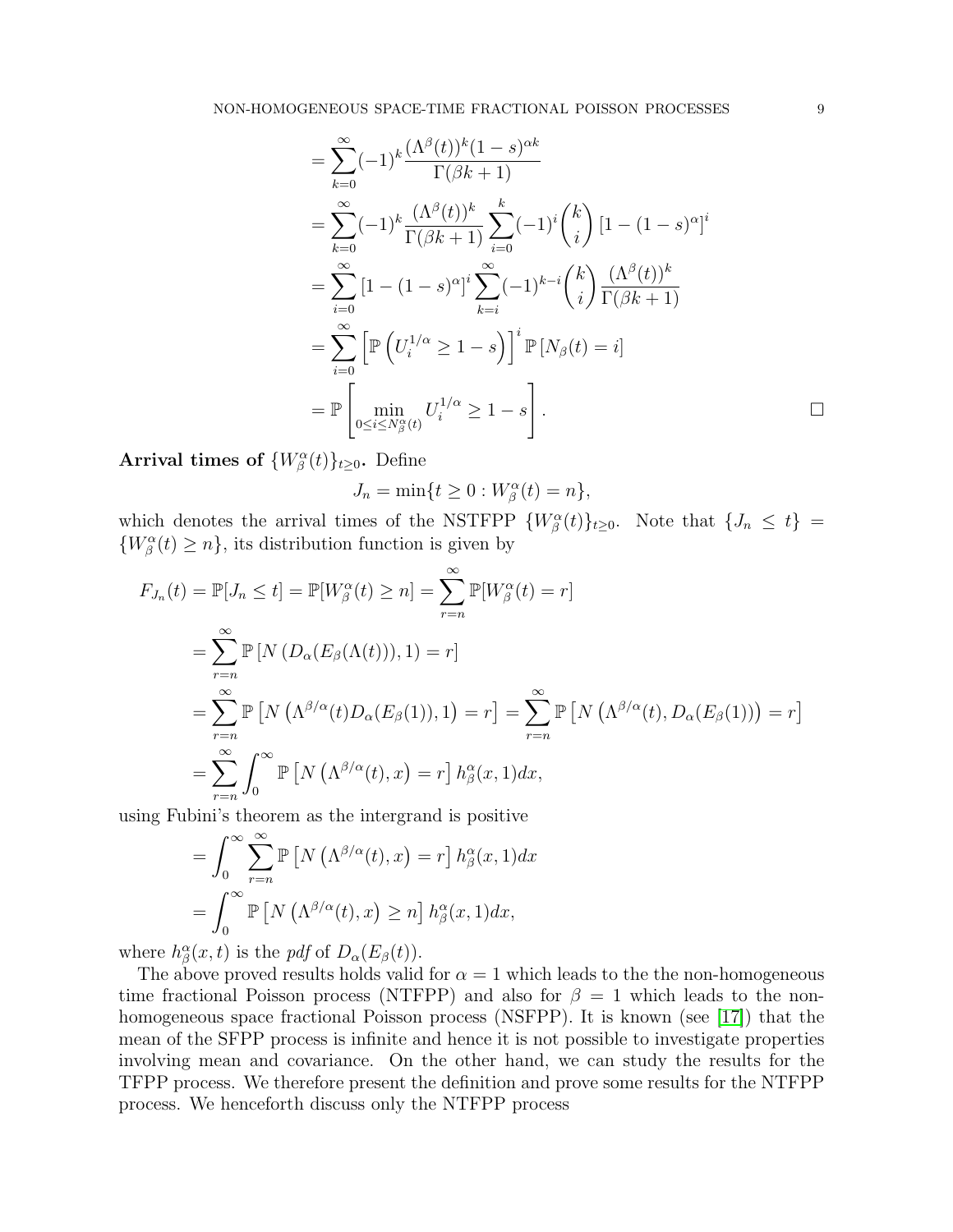$$
= \sum_{k=0}^{\infty} (-1)^k \frac{(\Lambda^{\beta}(t))^k (1-s)^{\alpha k}}{\Gamma(\beta k+1)}
$$
  
\n
$$
= \sum_{k=0}^{\infty} (-1)^k \frac{(\Lambda^{\beta}(t))^k}{\Gamma(\beta k+1)} \sum_{i=0}^k (-1)^i {k \choose i} [1 - (1-s)^{\alpha}]^i
$$
  
\n
$$
= \sum_{i=0}^{\infty} [1 - (1-s)^{\alpha}]^i \sum_{k=i}^{\infty} (-1)^{k-i} {k \choose i} \frac{(\Lambda^{\beta}(t))^k}{\Gamma(\beta k+1)}
$$
  
\n
$$
= \sum_{i=0}^{\infty} \left[ \mathbb{P} \left( U_i^{1/\alpha} \ge 1-s \right) \right]^i \mathbb{P} [N_{\beta}(t) = i]
$$
  
\n
$$
= \mathbb{P} \left[ \min_{0 \le i \le N_{\beta}^{\alpha}(t)} U_i^{1/\alpha} \ge 1-s \right].
$$

Arrival times of  $\{W^{\alpha}_{\beta}(t)\}_{t\geq 0}$ . Define

$$
J_n = \min\{t \ge 0 : W^{\alpha}_{\beta}(t) = n\},\
$$

which denotes the arrival times of the NSTFPP  $\{W^{\alpha}_{\beta}(t)\}_{t\geq 0}$ . Note that  $\{J_n \leq t\}$  $\{W^{\alpha}_{\beta}(t) \geq n\}$ , its distribution function is given by

$$
F_{J_n}(t) = \mathbb{P}[J_n \le t] = \mathbb{P}[W_{\beta}^{\alpha}(t) \ge n] = \sum_{r=n}^{\infty} \mathbb{P}[W_{\beta}^{\alpha}(t) = r]
$$
  
\n
$$
= \sum_{r=n}^{\infty} \mathbb{P}[N(D_{\alpha}(E_{\beta}(\Lambda(t))), 1) = r]
$$
  
\n
$$
= \sum_{r=n}^{\infty} \mathbb{P}[N(\Lambda^{\beta/\alpha}(t)D_{\alpha}(E_{\beta}(1)), 1) = r] = \sum_{r=n}^{\infty} \mathbb{P}[N(\Lambda^{\beta/\alpha}(t), D_{\alpha}(E_{\beta}(1))) = r]
$$
  
\n
$$
= \sum_{r=n}^{\infty} \int_{0}^{\infty} \mathbb{P}[N(\Lambda^{\beta/\alpha}(t), x) = r] h_{\beta}^{\alpha}(x, 1) dx,
$$

using Fubini's theorem as the intergrand is positive

$$
= \int_0^\infty \sum_{r=n}^\infty \mathbb{P}\left[N\left(\Lambda^{\beta/\alpha}(t),x\right) = r\right] h_\beta^\alpha(x,1) dx
$$

$$
= \int_0^\infty \mathbb{P}\left[N\left(\Lambda^{\beta/\alpha}(t),x\right) \ge n\right] h_\beta^\alpha(x,1) dx,
$$

where  $h^{\alpha}_{\beta}(x,t)$  is the pdf of  $D_{\alpha}(E_{\beta}(t))$ .

The above proved results holds valid for  $\alpha = 1$  which leads to the the non-homogeneous time fractional Poisson process (NTFPP) and also for  $\beta = 1$  which leads to the nonhomogeneous space fractional Poisson process (NSFPP). It is known (see [\[17\]](#page-15-0)) that the mean of the SFPP process is infinite and hence it is not possible to investigate properties involving mean and covariance. On the other hand, we can study the results for the TFPP process. We therefore present the definition and prove some results for the NTFPP process. We henceforth discuss only the NTFPP process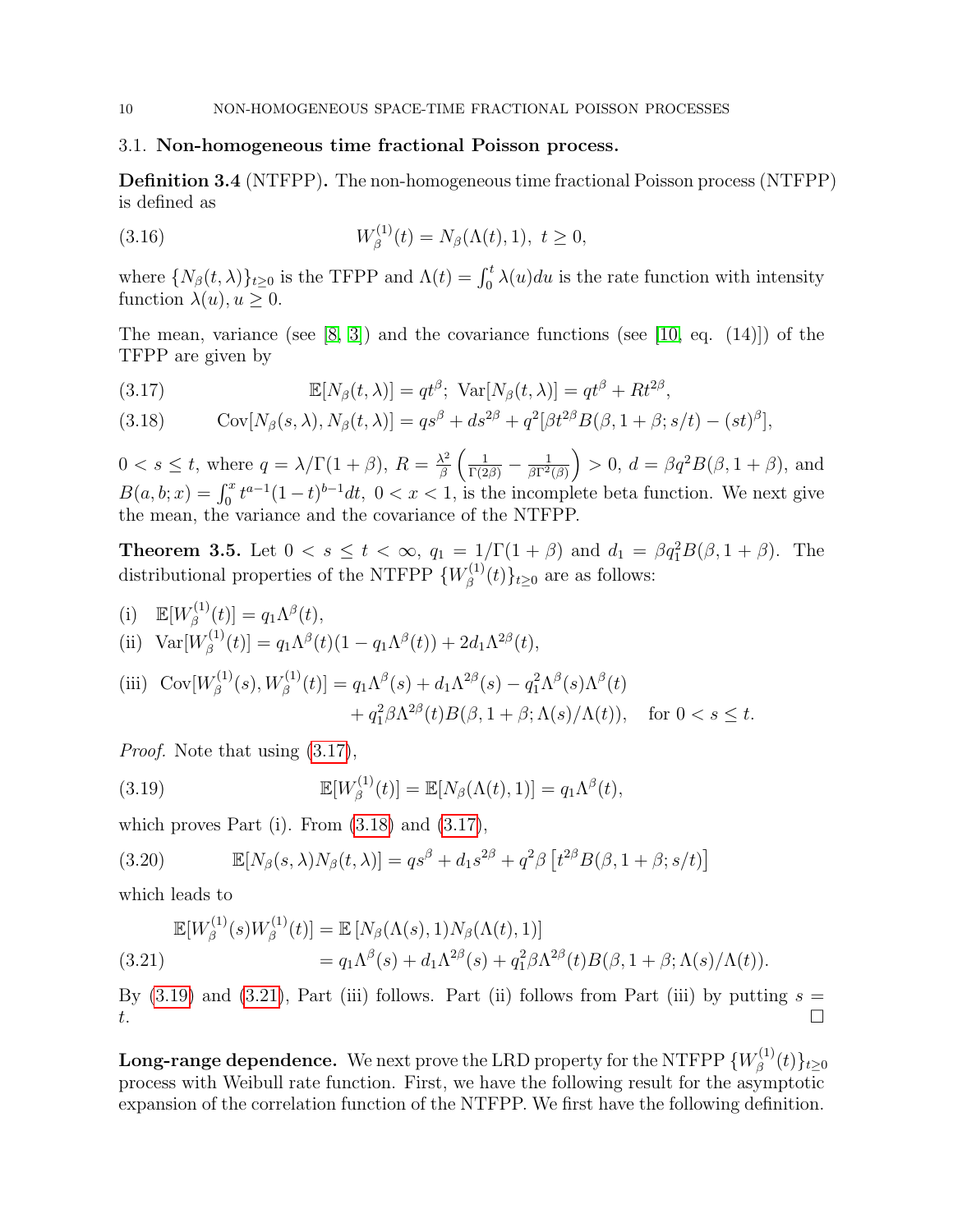# 3.1. Non-homogeneous time fractional Poisson process.

Definition 3.4 (NTFPP). The non-homogeneous time fractional Poisson process (NTFPP) is defined as

(3.16) 
$$
W_{\beta}^{(1)}(t) = N_{\beta}(\Lambda(t), 1), \ t \ge 0,
$$

where  $\{N_\beta(t,\lambda)\}_{t\geq 0}$  is the TFPP and  $\Lambda(t) = \int_0^t \lambda(u) du$  is the rate function with intensity function  $\lambda(u)$ ,  $u \geq 0$ .

The mean, variance (see  $[8, 3]$  $[8, 3]$ ) and the covariance functions (see  $[10, \text{ eq. } (14)]$ ) of the TFPP are given by

<span id="page-9-0"></span>(3.17) 
$$
\mathbb{E}[N_{\beta}(t,\lambda)] = qt^{\beta}; \text{ Var}[N_{\beta}(t,\lambda)] = qt^{\beta} + Rt^{2\beta},
$$

<span id="page-9-1"></span>(3.18) 
$$
Cov[N_{\beta}(s,\lambda), N_{\beta}(t,\lambda)] = qs^{\beta} + ds^{2\beta} + q^2[\beta t^{2\beta}B(\beta, 1+\beta; s/t) - (st)^{\beta}],
$$

 $0 < s \leq t$ , where  $q = \lambda/\Gamma(1+\beta)$ ,  $R = \frac{\lambda^2}{\beta}$  $\frac{\lambda^2}{\beta}\left(\frac{1}{\Gamma(2\beta)}-\frac{1}{\beta\Gamma^2}\right)$  $\frac{1}{\beta \Gamma^2(\beta)}$  > 0,  $d = \beta q^2 B(\beta, 1 + \beta)$ , and  $B(a, b; x) = \int_0^x t^{a-1}(1-t)^{b-1}dt$ ,  $0 < x < 1$ , is the incomplete beta function. We next give the mean, the variance and the covariance of the NTFPP.

<span id="page-9-4"></span>**Theorem 3.5.** Let  $0 < s \le t < \infty$ ,  $q_1 = 1/\Gamma(1+\beta)$  and  $d_1 = \beta q_1^2 B(\beta, 1+\beta)$ . The distributional properties of the NTFPP  $\{W_{\beta}^{(1)}\}$  $\{\beta^{(1)}(t)\}_{t\geq 0}$  are as follows:

(i)  $\mathbb{E}[W_{\beta}^{(1)}]$  $[q_{\beta}^{(1)}(t)] = q_1 \Lambda^{\beta}(t),$ (ii)  $Var[W_8^{(1)}]$  $[q_{\beta}^{(1)}(t)] = q_1 \Lambda^{\beta}(t) (1 - q_1 \Lambda^{\beta}(t)) + 2 d_1 \Lambda^{2\beta}(t),$ 

(iii) Cov[
$$
W_{\beta}^{(1)}(s)
$$
,  $W_{\beta}^{(1)}(t)$ ] =  $q_1 \Lambda^{\beta}(s) + d_1 \Lambda^{2\beta}(s) - q_1^2 \Lambda^{\beta}(s) \Lambda^{\beta}(t)$   
  $+ q_1^2 \beta \Lambda^{2\beta}(t) B(\beta, 1 + \beta; \Lambda(s)/\Lambda(t))$ , for  $0 < s \le t$ .

Proof. Note that using  $(3.17)$ ,

<span id="page-9-2"></span>(3.19) 
$$
\mathbb{E}[W_{\beta}^{(1)}(t)] = \mathbb{E}[N_{\beta}(\Lambda(t),1)] = q_1 \Lambda^{\beta}(t),
$$

which proves Part (i). From  $(3.18)$  and  $(3.17)$ ,

(3.20) 
$$
\mathbb{E}[N_{\beta}(s,\lambda)N_{\beta}(t,\lambda)] = qs^{\beta} + d_1s^{2\beta} + q^2\beta \left[t^{2\beta}B(\beta, 1+\beta; s/t)\right]
$$

which leads to

<span id="page-9-3"></span>
$$
\mathbb{E}[W_{\beta}^{(1)}(s)W_{\beta}^{(1)}(t)] = \mathbb{E}[N_{\beta}(\Lambda(s), 1)N_{\beta}(\Lambda(t), 1)] \n= q_1 \Lambda^{\beta}(s) + d_1 \Lambda^{2\beta}(s) + q_1^2 \beta \Lambda^{2\beta}(t)B(\beta, 1 + \beta; \Lambda(s)/\Lambda(t)).
$$

By  $(3.19)$  and  $(3.21)$ , Part (iii) follows. Part (ii) follows from Part (iii) by putting  $s =$  $t.$ 

Long-range dependence. We next prove the LRD property for the NTFPP  $\{W_{\beta}^{(1)}\}$  $\{(\begin{smallmatrix} 1 \ \beta \end{smallmatrix}) (t) \}_{t \geq 0}$ process with Weibull rate function. First, we have the following result for the asymptotic expansion of the correlation function of the NTFPP. We first have the following definition.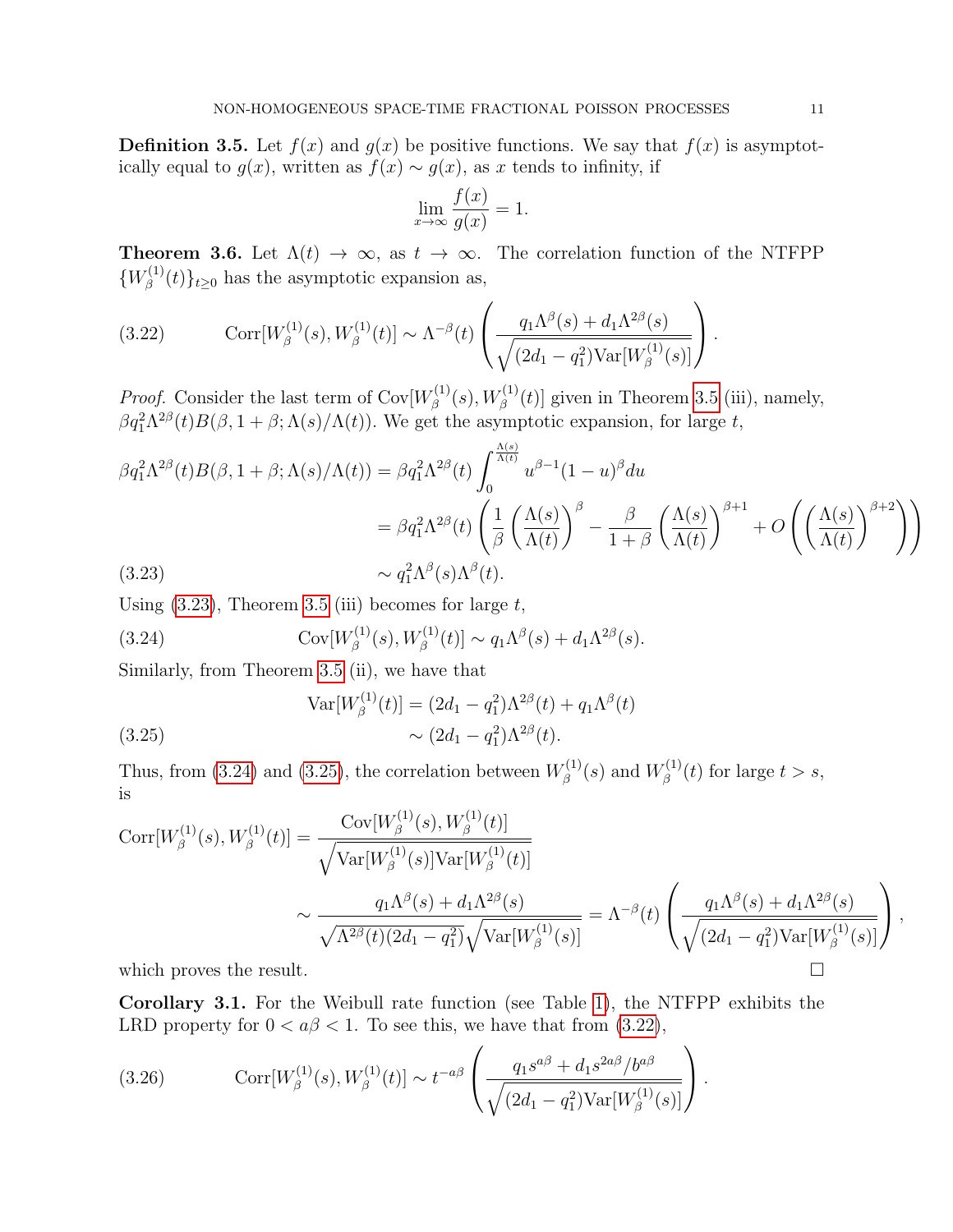**Definition 3.5.** Let  $f(x)$  and  $g(x)$  be positive functions. We say that  $f(x)$  is asymptotically equal to  $g(x)$ , written as  $f(x) \sim g(x)$ , as x tends to infinity, if

$$
\lim_{x \to \infty} \frac{f(x)}{g(x)} = 1.
$$

**Theorem 3.6.** Let  $\Lambda(t) \to \infty$ , as  $t \to \infty$ . The correlation function of the NTFPP  $\{W_{\beta}^{(1)}\}$  $\{\xi^{(1)}(t)\}_{t\geq 0}$  has the asymptotic expansion as,

<span id="page-10-3"></span>(3.22) 
$$
\text{Corr}[W_{\beta}^{(1)}(s), W_{\beta}^{(1)}(t)] \sim \Lambda^{-\beta}(t) \left( \frac{q_1 \Lambda^{\beta}(s) + d_1 \Lambda^{2\beta}(s)}{\sqrt{(2d_1 - q_1^2) \text{Var}[W_{\beta}^{(1)}(s)]}} \right).
$$

*Proof.* Consider the last term of  $Cov[W_{\beta}^{(1)}]$  $b_{\beta}^{(1)}(s), W_{\beta}^{(1)}(t)$ ] given in Theorem [3.5](#page-9-4) (iii), namely,  $\beta q_1^2 \Lambda^{2\beta}(t) B(\beta, 1+\beta; \Lambda(s)/\Lambda(t))$ . We get the asymptotic expansion, for large t,

$$
\beta q_1^2 \Lambda^{2\beta}(t) B(\beta, 1+\beta; \Lambda(s)/\Lambda(t)) = \beta q_1^2 \Lambda^{2\beta}(t) \int_0^{\frac{\Lambda(s)}{\Lambda(t)}} u^{\beta-1} (1-u)^{\beta} du
$$
  
=  $\beta q_1^2 \Lambda^{2\beta}(t) \left( \frac{1}{\beta} \left( \frac{\Lambda(s)}{\Lambda(t)} \right)^{\beta} - \frac{\beta}{1+\beta} \left( \frac{\Lambda(s)}{\Lambda(t)} \right)^{\beta+1} + O\left( \left( \frac{\Lambda(s)}{\Lambda(t)} \right)^{\beta+2} \right) \right)$   
(3.23)  $\sim q_1^2 \Lambda^{\beta}(s) \Lambda^{\beta}(t).$ 

<span id="page-10-0"></span>Using  $(3.23)$ , Theorem [3.5](#page-9-4) (iii) becomes for large t,

<span id="page-10-1"></span>(3.24) 
$$
Cov[W_{\beta}^{(1)}(s), W_{\beta}^{(1)}(t)] \sim q_1 \Lambda^{\beta}(s) + d_1 \Lambda^{2\beta}(s).
$$

Similarly, from Theorem [3.5](#page-9-4) (ii), we have that

<span id="page-10-2"></span>(3.25) 
$$
\operatorname{Var}[W_{\beta}^{(1)}(t)] = (2d_1 - q_1^2)\Lambda^{2\beta}(t) + q_1\Lambda^{\beta}(t) \sim (2d_1 - q_1^2)\Lambda^{2\beta}(t).
$$

Thus, from [\(3.24\)](#page-10-1) and [\(3.25\)](#page-10-2), the correlation between  $W^{(1)}_{\beta}$  $W^{(1)}_{\beta}(s)$  and  $W^{(1)}_{\beta}$  $f_{\beta}^{(1)}(t)$  for large  $t > s$ , is

$$
\begin{split} \text{Corr}[W^{(1)}_{\beta}(s),W^{(1)}_{\beta}(t)] &= \frac{\text{Cov}[W^{(1)}_{\beta}(s),W^{(1)}_{\beta}(t)]}{\sqrt{\text{Var}[W^{(1)}_{\beta}(s)]\text{Var}[W^{(1)}_{\beta}(t)]}} \\ &\sim \frac{q_1 \Lambda^{\beta}(s) + d_1 \Lambda^{2\beta}(s)}{\sqrt{\Lambda^{2\beta}(t)(2d_1 - q_1^2)}\sqrt{\text{Var}[W^{(1)}_{\beta}(s)]}} = \Lambda^{-\beta}(t) \left(\frac{q_1 \Lambda^{\beta}(s) + d_1 \Lambda^{2\beta}(s)}{\sqrt{(2d_1 - q_1^2)\text{Var}[W^{(1)}_{\beta}(s)]}}\right), \end{split}
$$
\nwhich proves the result.

Corollary 3.1. For the Weibull rate function (see Table [1\)](#page-5-1), the NTFPP exhibits the LRD property for  $0 < a\beta < 1$ . To see this, we have that from [\(3.22\)](#page-10-3),

(3.26) 
$$
\operatorname{Corr}[W_{\beta}^{(1)}(s), W_{\beta}^{(1)}(t)] \sim t^{-a\beta} \left( \frac{q_1 s^{a\beta} + d_1 s^{2a\beta} / b^{a\beta}}{\sqrt{(2d_1 - q_1^2) \operatorname{Var}[W_{\beta}^{(1)}(s)]}} \right).
$$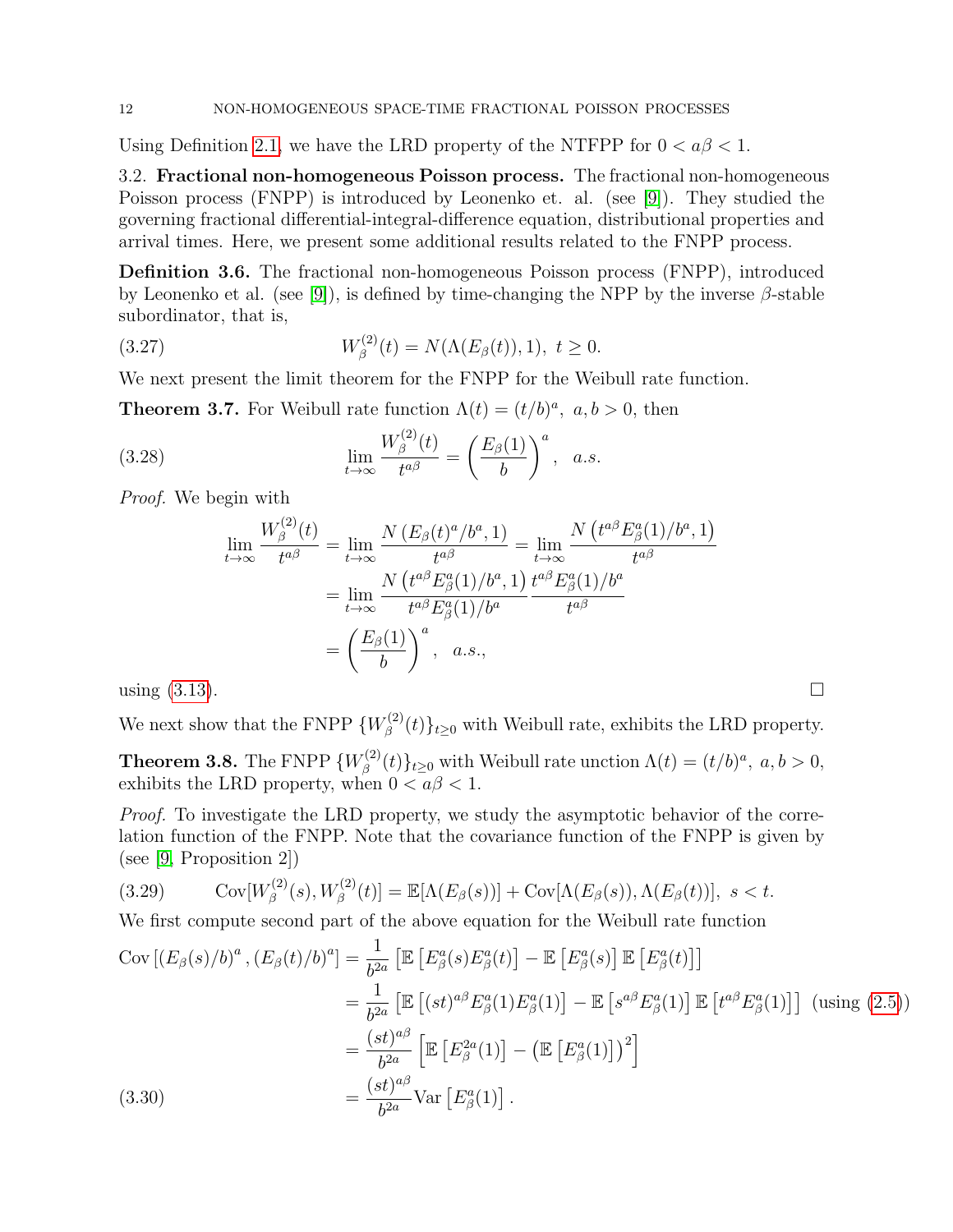Using Definition [2.1,](#page-2-7) we have the LRD property of the NTFPP for  $0 < a\beta < 1$ .

3.2. Fractional non-homogeneous Poisson process. The fractional non-homogeneous Poisson process (FNPP) is introduced by Leonenko et. al. (see [\[9\]](#page-14-0)). They studied the governing fractional differential-integral-difference equation, distributional properties and arrival times. Here, we present some additional results related to the FNPP process.

Definition 3.6. The fractional non-homogeneous Poisson process (FNPP), introduced by Leonenko et al. (see [\[9\]](#page-14-0)), is defined by time-changing the NPP by the inverse  $\beta$ -stable subordinator, that is,

(3.27) 
$$
W_{\beta}^{(2)}(t) = N(\Lambda(E_{\beta}(t)), 1), \ t \ge 0.
$$

We next present the limit theorem for the FNPP for the Weibull rate function.

**Theorem 3.7.** For Weibull rate function  $\Lambda(t) = (t/b)^a$ ,  $a, b > 0$ , then

(3.28) 
$$
\lim_{t \to \infty} \frac{W_{\beta}^{(2)}(t)}{t^{a\beta}} = \left(\frac{E_{\beta}(1)}{b}\right)^{a}, \quad a.s.
$$

Proof. We begin with

$$
\lim_{t \to \infty} \frac{W_{\beta}^{(2)}(t)}{t^{a\beta}} = \lim_{t \to \infty} \frac{N(E_{\beta}(t)^{a}/b^{a}, 1)}{t^{a\beta}} = \lim_{t \to \infty} \frac{N(t^{a\beta}E_{\beta}^{a}(1)/b^{a}, 1)}{t^{a\beta}}
$$

$$
= \lim_{t \to \infty} \frac{N(t^{a\beta}E_{\beta}^{a}(1)/b^{a}, 1)}{t^{a\beta}E_{\beta}^{a}(1)/b^{a}} \frac{t^{a\beta}E_{\beta}^{a}(1)/b^{a}}{t^{a\beta}}
$$

$$
= \left(\frac{E_{\beta}(1)}{b}\right)^{a}, \quad a.s.,
$$
using (3.13).

We next show that the FNPP  $\{W_{\beta}^{(2)}\}$  $\{\mathcal{L}^{(2)}(t)\}_{t\geq 0}$  with Weibull rate, exhibits the LRD property.

**Theorem 3.8.** The FNPP  $\{W_{\beta}^{(2)}\}$  $\{\lambda^{(2)}(t)\}_{t\geq 0}$  with Weibull rate unction  $\Lambda(t) = (t/b)^a$ ,  $a, b > 0$ , exhibits the LRD property, when  $0 < a\beta < 1$ .

Proof. To investigate the LRD property, we study the asymptotic behavior of the correlation function of the FNPP. Note that the covariance function of the FNPP is given by (see [\[9,](#page-14-0) Proposition 2])

$$
(3.29) \qquad \operatorname{Cov}[W_{\beta}^{(2)}(s), W_{\beta}^{(2)}(t)] = \mathbb{E}[\Lambda(E_{\beta}(s))] + \operatorname{Cov}[\Lambda(E_{\beta}(s)), \Lambda(E_{\beta}(t))], \ s < t.
$$

We first compute second part of the above equation for the Weibull rate function

$$
\text{Cov}\left[\left(E_{\beta}(s)/b\right)^{a}, \left(E_{\beta}(t)/b\right)^{a}\right] = \frac{1}{b^{2a}}\left[\mathbb{E}\left[E_{\beta}^{a}(s)E_{\beta}^{a}(t)\right] - \mathbb{E}\left[E_{\beta}^{a}(s)\right]\mathbb{E}\left[E_{\beta}^{a}(t)\right]\right]
$$
\n
$$
= \frac{1}{b^{2a}}\left[\mathbb{E}\left[(st)^{a\beta}E_{\beta}^{a}(1)E_{\beta}^{a}(1)\right] - \mathbb{E}\left[s^{a\beta}E_{\beta}^{a}(1)\right]\mathbb{E}\left[t^{a\beta}E_{\beta}^{a}(1)\right]\right] \text{ (using (2.5))}
$$
\n
$$
= \frac{(st)^{a\beta}}{b^{2a}}\left[\mathbb{E}\left[E_{\beta}^{2a}(1)\right] - \left(\mathbb{E}\left[E_{\beta}^{a}(1)\right]\right)^{2}\right]
$$
\n
$$
= \frac{(st)^{a\beta}}{b^{2a}}\text{Var}\left[E_{\beta}^{a}(1)\right].
$$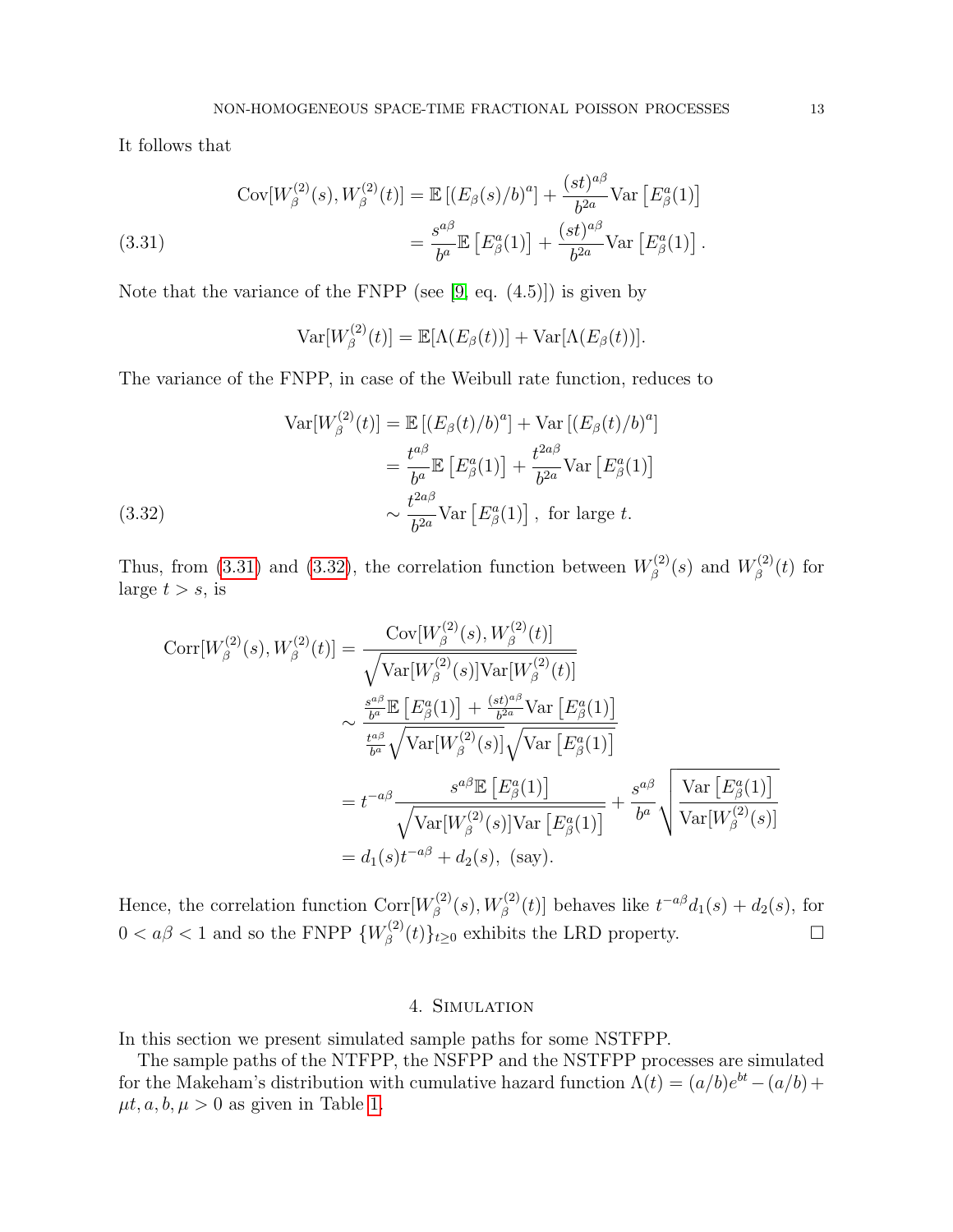It follows that

<span id="page-12-1"></span>(3.31) 
$$
\text{Cov}[W_{\beta}^{(2)}(s), W_{\beta}^{(2)}(t)] = \mathbb{E}\left[ (E_{\beta}(s)/b)^{a} \right] + \frac{(st)^{a\beta}}{b^{2a}} \text{Var}\left[ E_{\beta}^{a}(1) \right] = \frac{s^{a\beta}}{b^{a}} \mathbb{E}\left[ E_{\beta}^{a}(1) \right] + \frac{(st)^{a\beta}}{b^{2a}} \text{Var}\left[ E_{\beta}^{a}(1) \right].
$$

Note that the variance of the FNPP (see [\[9,](#page-14-0) eq. (4.5)]) is given by

$$
\text{Var}[W_{\beta}^{(2)}(t)] = \mathbb{E}[\Lambda(E_{\beta}(t))] + \text{Var}[\Lambda(E_{\beta}(t))].
$$

The variance of the FNPP, in case of the Weibull rate function, reduces to

(3.32)  
\n
$$
\operatorname{Var}[W_{\beta}^{(2)}(t)] = \mathbb{E}\left[ (E_{\beta}(t)/b)^{a} \right] + \operatorname{Var}\left[ (E_{\beta}(t)/b)^{a} \right]
$$
\n
$$
= \frac{t^{a\beta}}{b^{a}} \mathbb{E}\left[ E_{\beta}^{a}(1) \right] + \frac{t^{2a\beta}}{b^{2a}} \operatorname{Var}\left[ E_{\beta}^{a}(1) \right]
$$
\n
$$
\sim \frac{t^{2a\beta}}{b^{2a}} \operatorname{Var}\left[ E_{\beta}^{a}(1) \right], \text{ for large } t.
$$

<span id="page-12-2"></span>Thus, from [\(3.31\)](#page-12-1) and [\(3.32\)](#page-12-2), the correlation function between  $W_0^{(2)}$  $W^{(2)}_{\beta}(s)$  and  $W^{(2)}_{\beta}$  $\int_{\beta}^{(2)}(t)$  for large  $t > s$ , is

$$
\text{Corr}[W_{\beta}^{(2)}(s), W_{\beta}^{(2)}(t)] = \frac{\text{Cov}[W_{\beta}^{(2)}(s), W_{\beta}^{(2)}(t)]}{\sqrt{\text{Var}[W_{\beta}^{(2)}(s)]\text{Var}[W_{\beta}^{(2)}(t)]}}
$$
  

$$
\sim \frac{\frac{s^{a\beta}}{b^{a}} \mathbb{E}\left[E_{\beta}^{a}(1)\right] + \frac{(st)^{a\beta}}{b^{2a}} \text{Var}\left[E_{\beta}^{a}(1)\right]}{\frac{t^{a\beta}}{b^{a}} \sqrt{\text{Var}[W_{\beta}^{(2)}(s)]}\sqrt{\text{Var}\left[E_{\beta}^{a}(1)\right]}}
$$

$$
= t^{-a\beta} \frac{s^{a\beta} \mathbb{E}\left[E_{\beta}^{a}(1)\right]}{\sqrt{\text{Var}[W_{\beta}^{(2)}(s)]\text{Var}\left[E_{\beta}^{a}(1)\right]}} + \frac{s^{a\beta}}{b^{a}} \sqrt{\frac{\text{Var}\left[E_{\beta}^{a}(1)\right]}{\text{Var}[W_{\beta}^{(2)}(s)]}}
$$

$$
= d_{1}(s)t^{-a\beta} + d_{2}(s), \text{ (say)}.
$$

Hence, the correlation function Corr $W^{(2)}_6$  $\mathcal{L}_{\beta}^{(2)}(s), W_{\beta}^{(2)}(t)$ ] behaves like  $t^{-a\beta}d_1(s) + d_2(s)$ , for  $0 < a\beta < 1$  and so the FNPP  $\{W_{\beta}^{(2)}\}$  $\mathcal{L}^{(2)}_{\beta}(t)\}_{t\geq 0}$  exhibits the LRD property.

### 4. Simulation

<span id="page-12-0"></span>In this section we present simulated sample paths for some NSTFPP.

The sample paths of the NTFPP, the NSFPP and the NSTFPP processes are simulated for the Makeham's distribution with cumulative hazard function  $\Lambda(t) = (a/b)e^{bt} - (a/b) +$  $\mu t, a, b, \mu > 0$  as given in Table [1.](#page-5-1)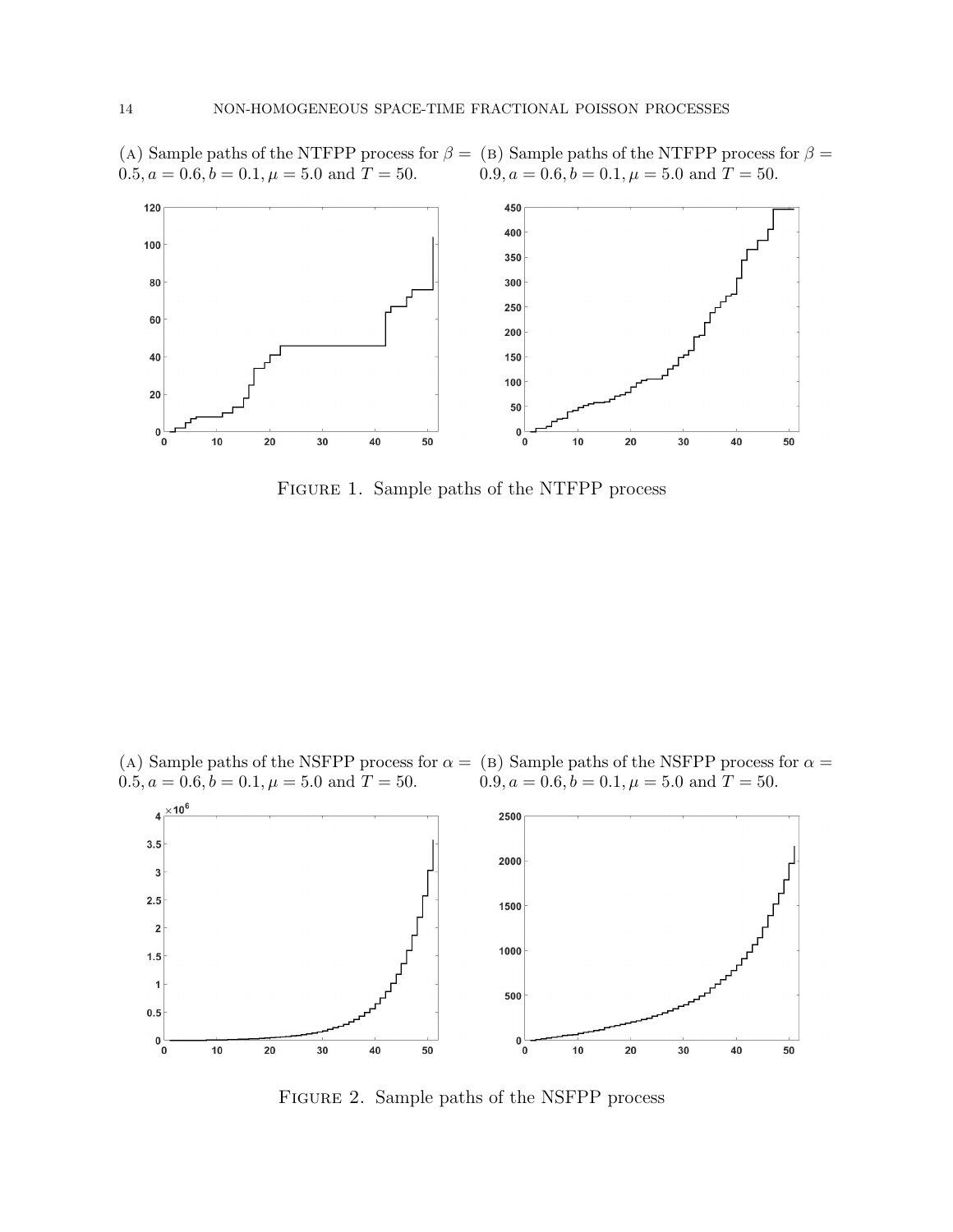(A) Sample paths of the NTFPP process for  $\beta =$  (B) Sample paths of the NTFPP process for  $\beta =$  $0.5, a = 0.6, b = 0.1, \mu = 5.0$  and  $T = 50$ .  $0.9, a = 0.6, b = 0.1, \mu = 5.0 \text{ and } T = 50.$ 



Figure 1. Sample paths of the NTFPP process

(A) Sample paths of the NSFPP process for  $\alpha =$  (B) Sample paths of the NSFPP process for  $\alpha =$  $0.5, a = 0.6, b = 0.1, \mu = 5.0 \text{ and } T = 50.$  $0.9, a = 0.6, b = 0.1, \mu = 5.0 \text{ and } T = 50.$ 



Figure 2. Sample paths of the NSFPP process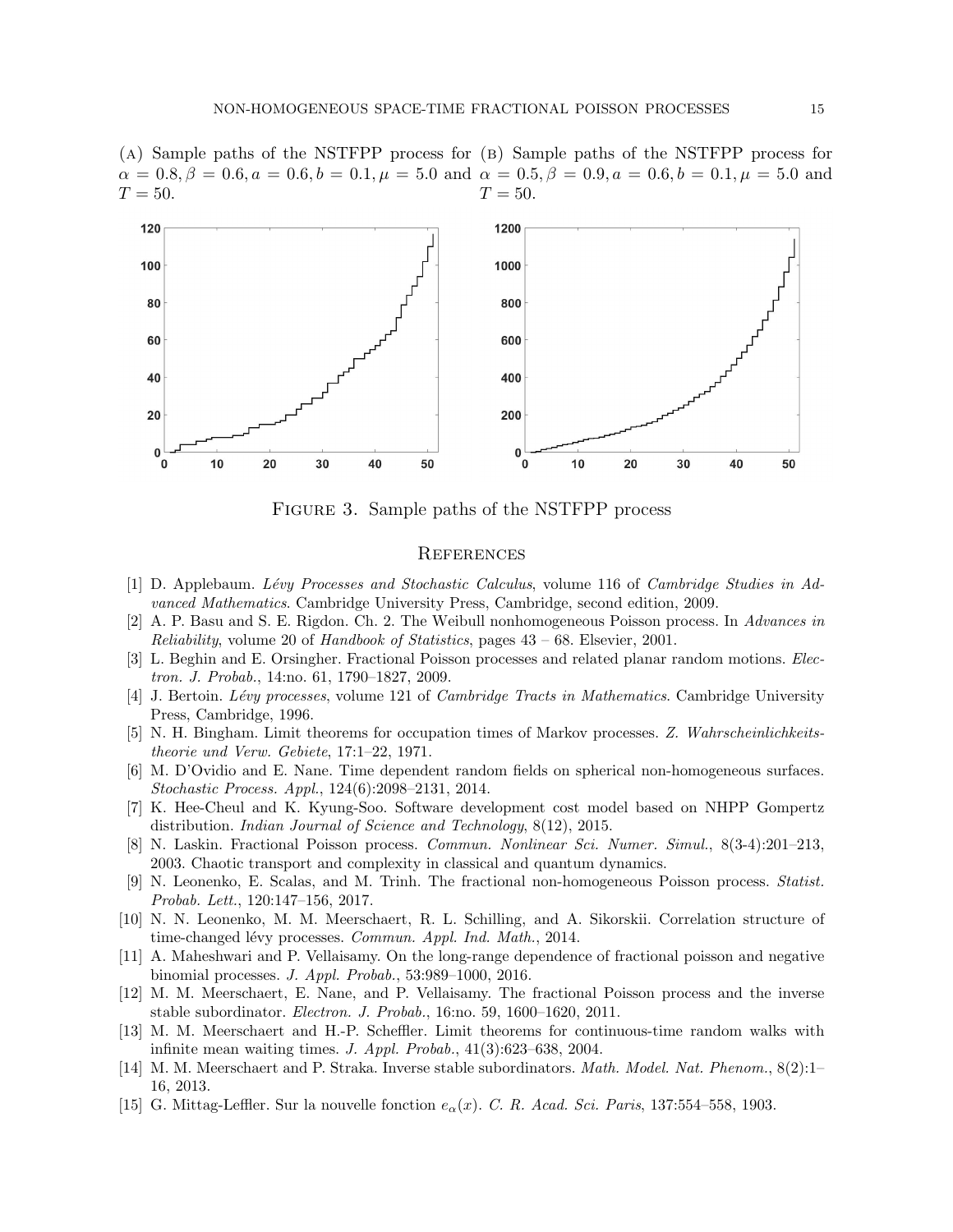(A) Sample paths of the NSTFPP process for (B) Sample paths of the NSTFPP process for  $\alpha = 0.8, \beta = 0.6, a = 0.6, b = 0.1, \mu = 5.0$  and  $\alpha = 0.5, \beta = 0.9, a = 0.6, b = 0.1, \mu = 5.0$  and  $T = 50.$  $T = 50.$ 



Figure 3. Sample paths of the NSTFPP process

### **REFERENCES**

- <span id="page-14-3"></span>[1] D. Applebaum. Lévy Processes and Stochastic Calculus, volume 116 of Cambridge Studies in Advanced Mathematics. Cambridge University Press, Cambridge, second edition, 2009.
- <span id="page-14-10"></span>[2] A. P. Basu and S. E. Rigdon. Ch. 2. The Weibull nonhomogeneous Poisson process. In Advances in Reliability, volume 20 of Handbook of Statistics, pages 43 – 68. Elsevier, 2001.
- <span id="page-14-13"></span>[3] L. Beghin and E. Orsingher. Fractional Poisson processes and related planar random motions. Electron. J. Probab., 14:no. 61, 1790–1827, 2009.
- <span id="page-14-12"></span>[4] J. Bertoin. Lévy processes, volume 121 of *Cambridge Tracts in Mathematics*. Cambridge University Press, Cambridge, 1996.
- <span id="page-14-4"></span>[5] N. H. Bingham. Limit theorems for occupation times of Markov processes. Z. Wahrscheinlichkeitstheorie und Verw. Gebiete, 17:1–22, 1971.
- <span id="page-14-7"></span>[6] M. D'Ovidio and E. Nane. Time dependent random fields on spherical non-homogeneous surfaces. Stochastic Process. Appl., 124(6):2098–2131, 2014.
- <span id="page-14-11"></span>[7] K. Hee-Cheul and K. Kyung-Soo. Software development cost model based on NHPP Gompertz distribution. Indian Journal of Science and Technology, 8(12), 2015.
- <span id="page-14-1"></span>[8] N. Laskin. Fractional Poisson process. Commun. Nonlinear Sci. Numer. Simul., 8(3-4):201–213, 2003. Chaotic transport and complexity in classical and quantum dynamics.
- <span id="page-14-0"></span>[9] N. Leonenko, E. Scalas, and M. Trinh. The fractional non-homogeneous Poisson process. Statist. Probab. Lett., 120:147–156, 2017.
- <span id="page-14-14"></span>[10] N. N. Leonenko, M. M. Meerschaert, R. L. Schilling, and A. Sikorskii. Correlation structure of time-changed lévy processes. Commun. Appl. Ind. Math., 2014.
- <span id="page-14-8"></span>[11] A. Maheshwari and P. Vellaisamy. On the long-range dependence of fractional poisson and negative binomial processes. J. Appl. Probab., 53:989–1000, 2016.
- <span id="page-14-9"></span>[12] M. M. Meerschaert, E. Nane, and P. Vellaisamy. The fractional Poisson process and the inverse stable subordinator. Electron. J. Probab., 16:no. 59, 1600–1620, 2011.
- <span id="page-14-6"></span>[13] M. M. Meerschaert and H.-P. Scheffler. Limit theorems for continuous-time random walks with infinite mean waiting times. J. Appl. Probab., 41(3):623–638, 2004.
- <span id="page-14-5"></span>[14] M. M. Meerschaert and P. Straka. Inverse stable subordinators. Math. Model. Nat. Phenom., 8(2):1– 16, 2013.
- <span id="page-14-2"></span>[15] G. Mittag-Leffler. Sur la nouvelle fonction  $e_{\alpha}(x)$ . C. R. Acad. Sci. Paris, 137:554–558, 1903.